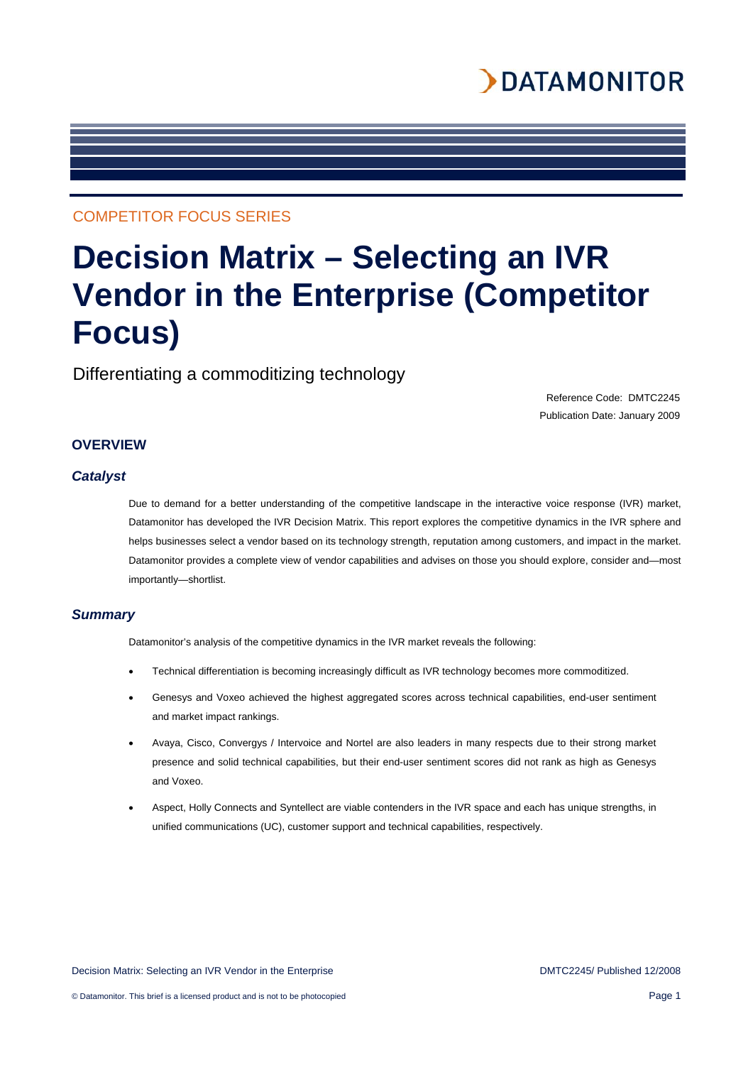## COMPETITOR FOCUS SERIES

# **Decision Matrix – Selecting an IVR Vendor in the Enterprise (Competitor Focus)**

Differentiating a commoditizing technology

Reference Code: DMTC2245 Publication Date: January 2009

### **OVERVIEW**

### *Catalyst*

Due to demand for a better understanding of the competitive landscape in the interactive voice response (IVR) market, Datamonitor has developed the IVR Decision Matrix. This report explores the competitive dynamics in the IVR sphere and helps businesses select a vendor based on its technology strength, reputation among customers, and impact in the market. Datamonitor provides a complete view of vendor capabilities and advises on those you should explore, consider and—most importantly—shortlist.

#### *Summary*

Datamonitor's analysis of the competitive dynamics in the IVR market reveals the following:

- Technical differentiation is becoming increasingly difficult as IVR technology becomes more commoditized.
- Genesys and Voxeo achieved the highest aggregated scores across technical capabilities, end-user sentiment and market impact rankings.
- Avaya, Cisco, Convergys / Intervoice and Nortel are also leaders in many respects due to their strong market presence and solid technical capabilities, but their end-user sentiment scores did not rank as high as Genesys and Voxeo.
- Aspect, Holly Connects and Syntellect are viable contenders in the IVR space and each has unique strengths, in unified communications (UC), customer support and technical capabilities, respectively.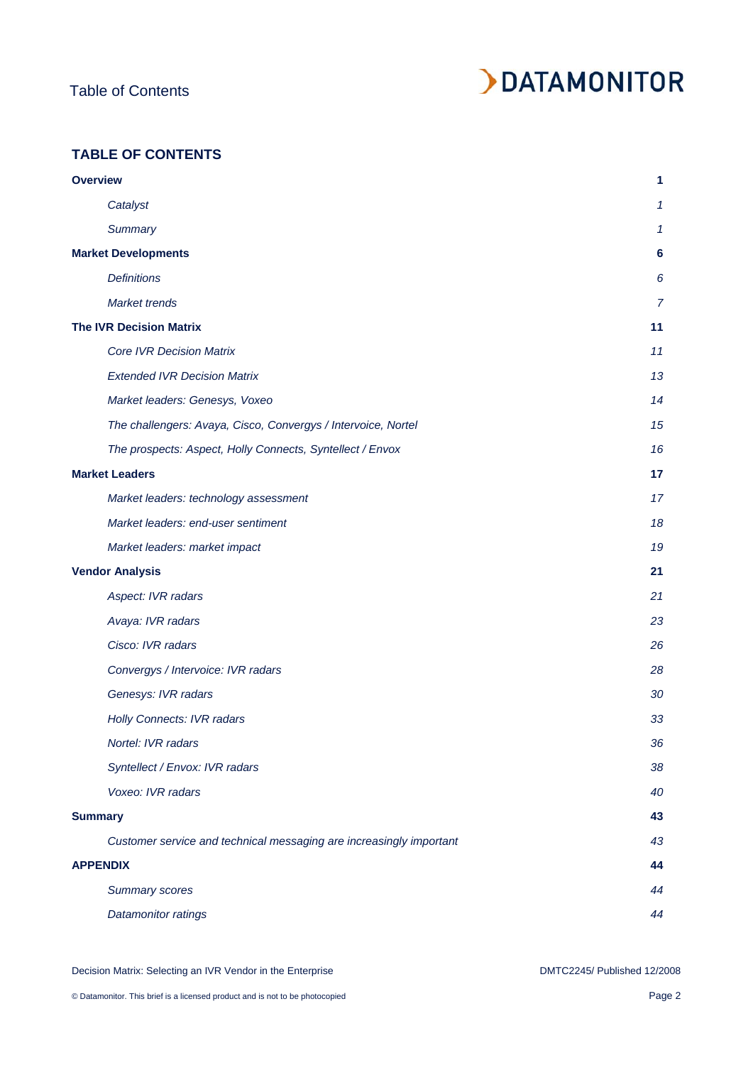## **TABLE OF CONTENTS**

| <b>Overview</b>                                                     | 1              |
|---------------------------------------------------------------------|----------------|
| Catalyst                                                            | $\mathcal I$   |
| Summary                                                             | $\mathcal I$   |
| <b>Market Developments</b>                                          | 6              |
| <b>Definitions</b>                                                  | 6              |
| Market trends                                                       | $\overline{7}$ |
| <b>The IVR Decision Matrix</b>                                      | 11             |
| <b>Core IVR Decision Matrix</b>                                     | 11             |
| <b>Extended IVR Decision Matrix</b>                                 | 13             |
| Market leaders: Genesys, Voxeo                                      | 14             |
| The challengers: Avaya, Cisco, Convergys / Intervoice, Nortel       | 15             |
| The prospects: Aspect, Holly Connects, Syntellect / Envox           | 16             |
| <b>Market Leaders</b>                                               | 17             |
| Market leaders: technology assessment                               | 17             |
| Market leaders: end-user sentiment                                  | 18             |
| Market leaders: market impact                                       | 19             |
| <b>Vendor Analysis</b>                                              | 21             |
| Aspect: IVR radars                                                  | 21             |
| Avaya: IVR radars                                                   | 23             |
| Cisco: IVR radars                                                   | 26             |
| Convergys / Intervoice: IVR radars                                  | 28             |
| Genesys: IVR radars                                                 | 30             |
| <b>Holly Connects: IVR radars</b>                                   | 33             |
| Nortel: IVR radars                                                  | 36             |
| Syntellect / Envox: IVR radars                                      | 38             |
| Voxeo: IVR radars                                                   | 40             |
| <b>Summary</b>                                                      | 43             |
| Customer service and technical messaging are increasingly important | 43             |
| <b>APPENDIX</b>                                                     | 44             |
| Summary scores                                                      | 44             |
| Datamonitor ratings                                                 | 44             |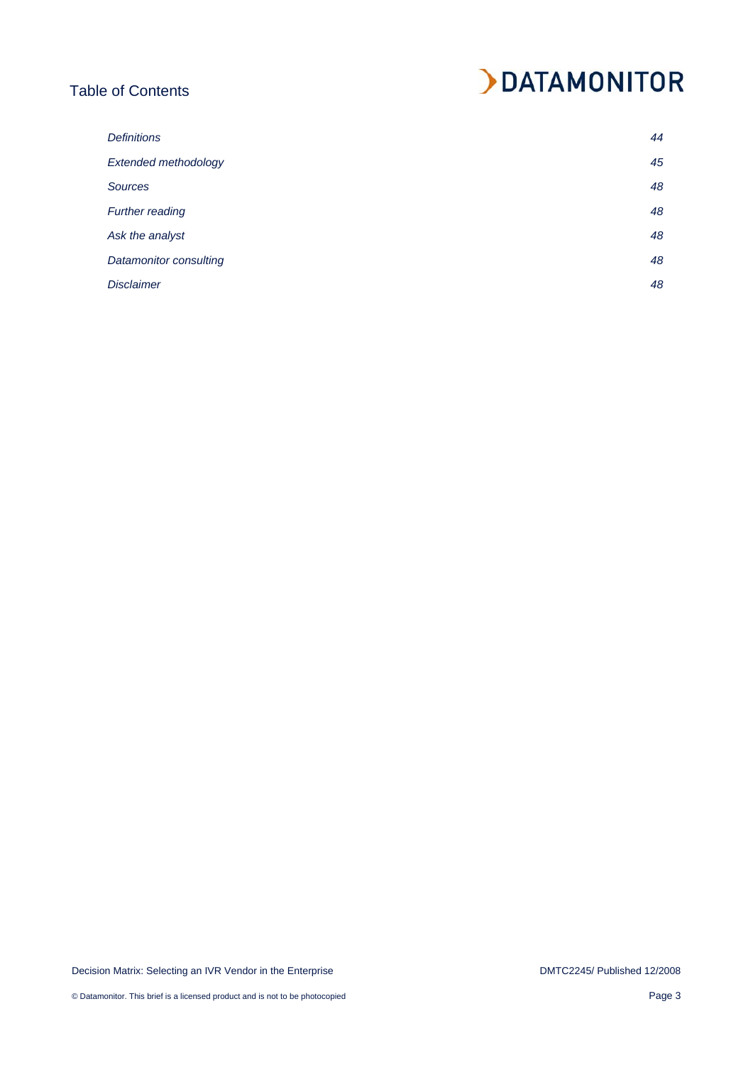## Table of Contents

# **DATAMONITOR**

| <b>Definitions</b>     | 44 |
|------------------------|----|
| Extended methodology   | 45 |
| <b>Sources</b>         | 48 |
| <b>Further reading</b> | 48 |
| Ask the analyst        | 48 |
| Datamonitor consulting | 48 |
| <b>Disclaimer</b>      | 48 |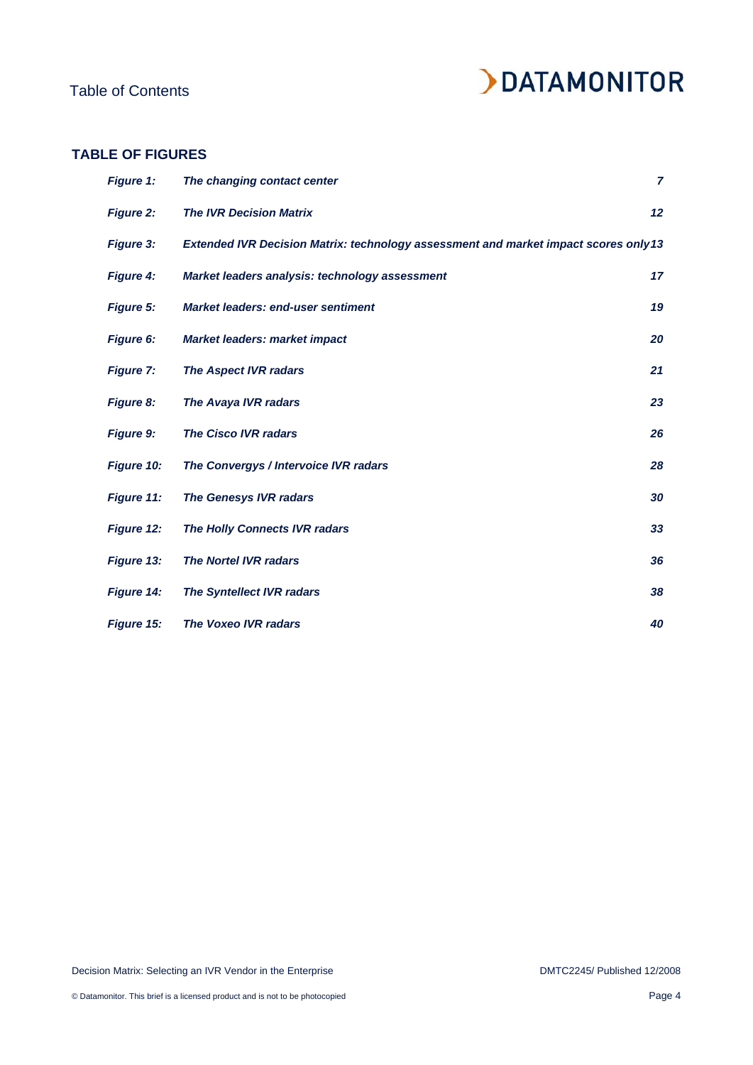## Table of Contents

# **DATAMONITOR**

## **TABLE OF FIGURES**

| <b>Figure 1:</b> | The changing contact center                                                          | $\overline{7}$ |
|------------------|--------------------------------------------------------------------------------------|----------------|
| <b>Figure 2:</b> | <b>The IVR Decision Matrix</b>                                                       | 12             |
| <b>Figure 3:</b> | Extended IVR Decision Matrix: technology assessment and market impact scores only 13 |                |
| <b>Figure 4:</b> | Market leaders analysis: technology assessment                                       | 17             |
| <b>Figure 5:</b> | <b>Market leaders: end-user sentiment</b>                                            | 19             |
| Figure 6:        | <b>Market leaders: market impact</b>                                                 | 20             |
| <b>Figure 7:</b> | <b>The Aspect IVR radars</b>                                                         | 21             |
| Figure 8:        | <b>The Avaya IVR radars</b>                                                          | 23             |
| <b>Figure 9:</b> | <b>The Cisco IVR radars</b>                                                          | 26             |
| Figure 10:       | The Convergys / Intervoice IVR radars                                                | 28             |
| Figure 11:       | <b>The Genesys IVR radars</b>                                                        | 30             |
| Figure 12:       | <b>The Holly Connects IVR radars</b>                                                 | 33             |
| Figure 13:       | <b>The Nortel IVR radars</b>                                                         | 36             |
| Figure 14:       | <b>The Syntellect IVR radars</b>                                                     | 38             |
| Figure 15:       | <b>The Voxeo IVR radars</b>                                                          | 40             |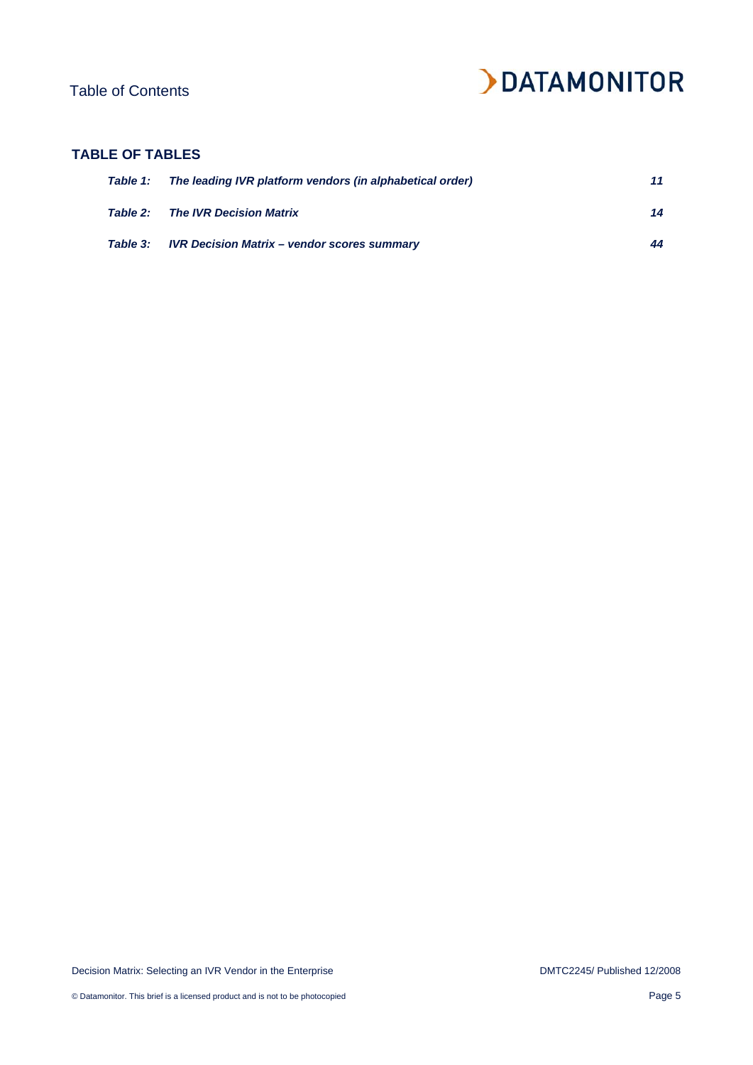## Table of Contents

# **DATAMONITOR**

## **TABLE OF TABLES**

| Table 1: The leading IVR platform vendors (in alphabetical order) | 11 |
|-------------------------------------------------------------------|----|
| Table 2: The IVR Decision Matrix                                  | 14 |
| Table 3: IVR Decision Matrix – vendor scores summary              | 44 |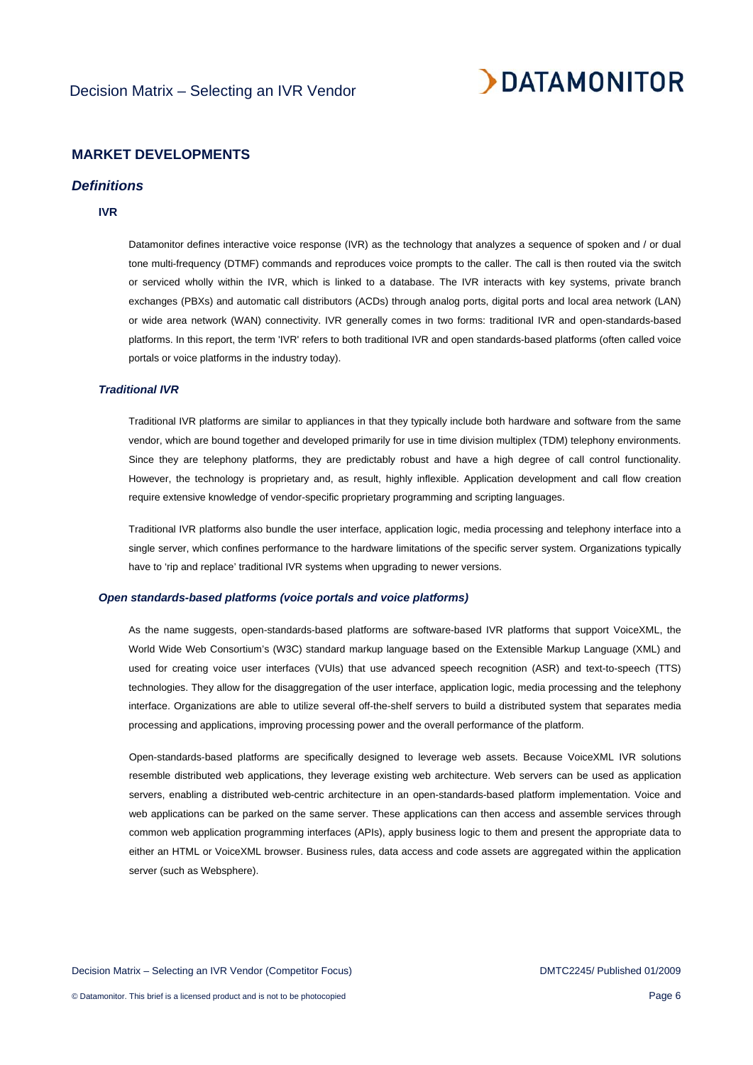#### **MARKET DEVELOPMENTS**

#### *Definitions*

#### **IVR**

Datamonitor defines interactive voice response (IVR) as the technology that analyzes a sequence of spoken and / or dual tone multi-frequency (DTMF) commands and reproduces voice prompts to the caller. The call is then routed via the switch or serviced wholly within the IVR, which is linked to a database. The IVR interacts with key systems, private branch exchanges (PBXs) and automatic call distributors (ACDs) through analog ports, digital ports and local area network (LAN) or wide area network (WAN) connectivity. IVR generally comes in two forms: traditional IVR and open-standards-based platforms. In this report, the term 'IVR' refers to both traditional IVR and open standards-based platforms (often called voice portals or voice platforms in the industry today).

#### *Traditional IVR*

Traditional IVR platforms are similar to appliances in that they typically include both hardware and software from the same vendor, which are bound together and developed primarily for use in time division multiplex (TDM) telephony environments. Since they are telephony platforms, they are predictably robust and have a high degree of call control functionality. However, the technology is proprietary and, as result, highly inflexible. Application development and call flow creation require extensive knowledge of vendor-specific proprietary programming and scripting languages.

Traditional IVR platforms also bundle the user interface, application logic, media processing and telephony interface into a single server, which confines performance to the hardware limitations of the specific server system. Organizations typically have to 'rip and replace' traditional IVR systems when upgrading to newer versions.

#### *Open standards-based platforms (voice portals and voice platforms)*

As the name suggests, open-standards-based platforms are software-based IVR platforms that support VoiceXML, the World Wide Web Consortium's (W3C) standard markup language based on the Extensible Markup Language (XML) and used for creating voice user interfaces (VUIs) that use advanced speech recognition (ASR) and text-to-speech (TTS) technologies. They allow for the disaggregation of the user interface, application logic, media processing and the telephony interface. Organizations are able to utilize several off-the-shelf servers to build a distributed system that separates media processing and applications, improving processing power and the overall performance of the platform.

Open-standards-based platforms are specifically designed to leverage web assets. Because VoiceXML IVR solutions resemble distributed web applications, they leverage existing web architecture. Web servers can be used as application servers, enabling a distributed web-centric architecture in an open-standards-based platform implementation. Voice and web applications can be parked on the same server. These applications can then access and assemble services through common web application programming interfaces (APIs), apply business logic to them and present the appropriate data to either an HTML or VoiceXML browser. Business rules, data access and code assets are aggregated within the application server (such as Websphere).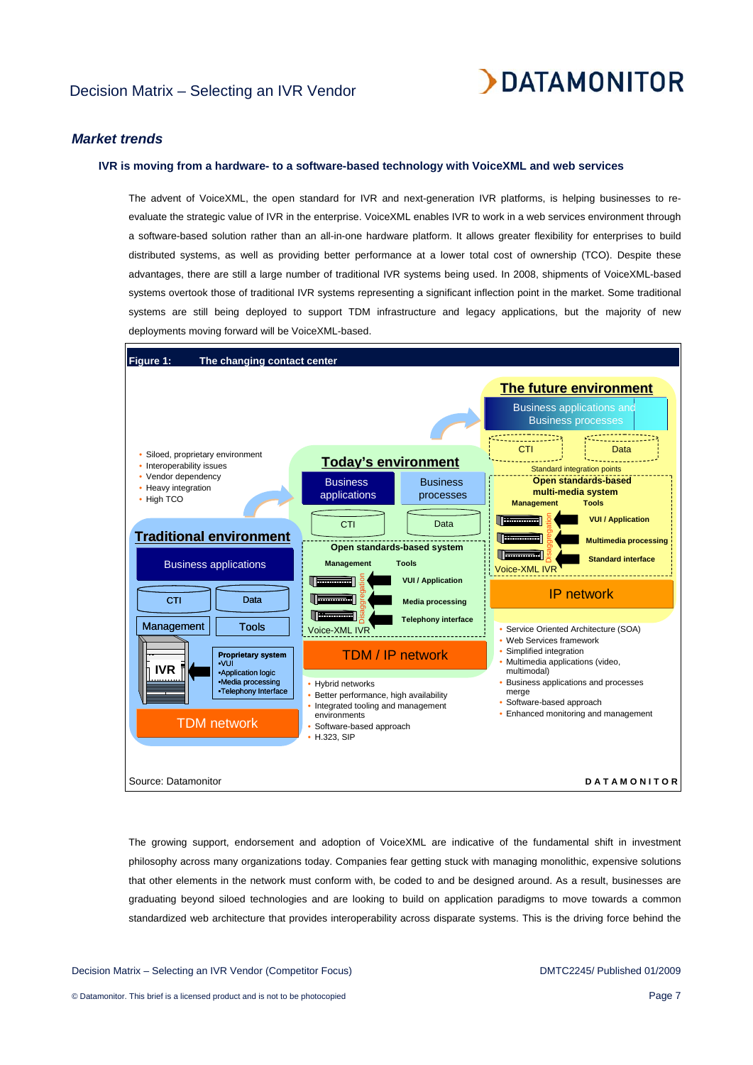

#### *Market trends*

#### **IVR is moving from a hardware- to a software-based technology with VoiceXML and web services**

The advent of VoiceXML, the open standard for IVR and next-generation IVR platforms, is helping businesses to reevaluate the strategic value of IVR in the enterprise. VoiceXML enables IVR to work in a web services environment through a software-based solution rather than an all-in-one hardware platform. It allows greater flexibility for enterprises to build distributed systems, as well as providing better performance at a lower total cost of ownership (TCO). Despite these advantages, there are still a large number of traditional IVR systems being used. In 2008, shipments of VoiceXML-based systems overtook those of traditional IVR systems representing a significant inflection point in the market. Some traditional systems are still being deployed to support TDM infrastructure and legacy applications, but the majority of new deployments moving forward will be VoiceXML-based.



The growing support, endorsement and adoption of VoiceXML are indicative of the fundamental shift in investment philosophy across many organizations today. Companies fear getting stuck with managing monolithic, expensive solutions that other elements in the network must conform with, be coded to and be designed around. As a result, businesses are graduating beyond siloed technologies and are looking to build on application paradigms to move towards a common standardized web architecture that provides interoperability across disparate systems. This is the driving force behind the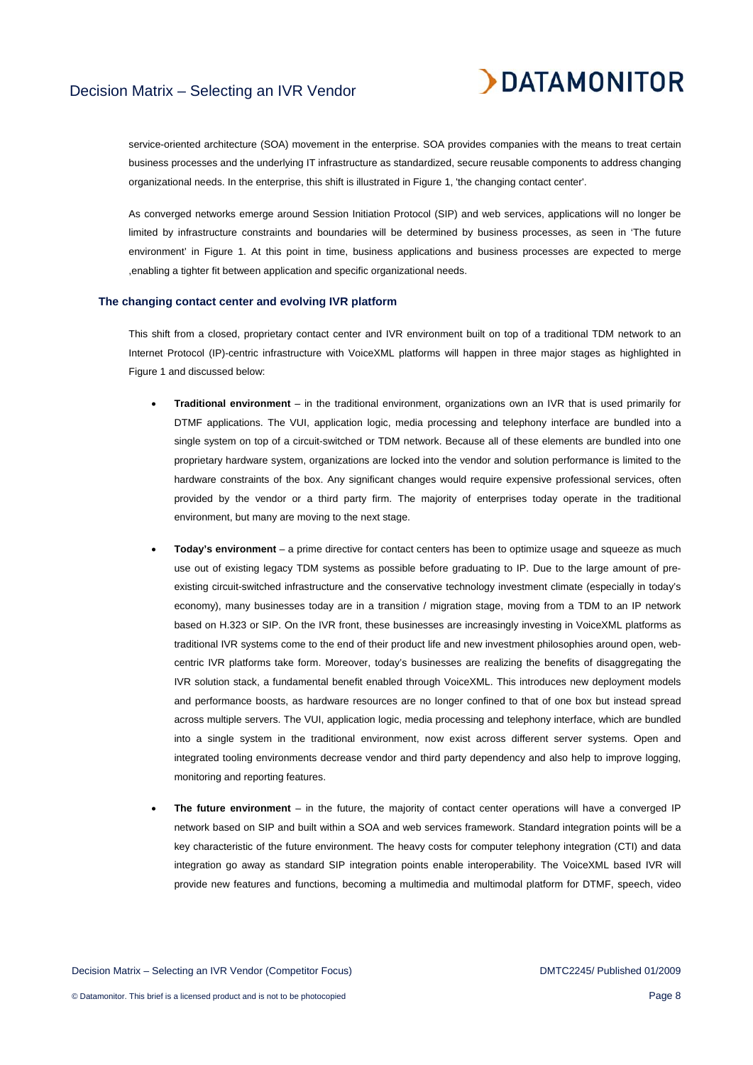## **DATAMONITOR**

service-oriented architecture (SOA) movement in the enterprise. SOA provides companies with the means to treat certain business processes and the underlying IT infrastructure as standardized, secure reusable components to address changing organizational needs. In the enterprise, this shift is illustrated in Figure 1, 'the changing contact center'.

As converged networks emerge around Session Initiation Protocol (SIP) and web services, applications will no longer be limited by infrastructure constraints and boundaries will be determined by business processes, as seen in 'The future environment' in Figure 1. At this point in time, business applications and business processes are expected to merge ,enabling a tighter fit between application and specific organizational needs.

#### **The changing contact center and evolving IVR platform**

This shift from a closed, proprietary contact center and IVR environment built on top of a traditional TDM network to an Internet Protocol (IP)-centric infrastructure with VoiceXML platforms will happen in three major stages as highlighted in Figure 1 and discussed below:

- **Traditional environment** in the traditional environment, organizations own an IVR that is used primarily for DTMF applications. The VUI, application logic, media processing and telephony interface are bundled into a single system on top of a circuit-switched or TDM network. Because all of these elements are bundled into one proprietary hardware system, organizations are locked into the vendor and solution performance is limited to the hardware constraints of the box. Any significant changes would require expensive professional services, often provided by the vendor or a third party firm. The majority of enterprises today operate in the traditional environment, but many are moving to the next stage.
- **Today's environment** a prime directive for contact centers has been to optimize usage and squeeze as much use out of existing legacy TDM systems as possible before graduating to IP. Due to the large amount of preexisting circuit-switched infrastructure and the conservative technology investment climate (especially in today's economy), many businesses today are in a transition / migration stage, moving from a TDM to an IP network based on H.323 or SIP. On the IVR front, these businesses are increasingly investing in VoiceXML platforms as traditional IVR systems come to the end of their product life and new investment philosophies around open, webcentric IVR platforms take form. Moreover, today's businesses are realizing the benefits of disaggregating the IVR solution stack, a fundamental benefit enabled through VoiceXML. This introduces new deployment models and performance boosts, as hardware resources are no longer confined to that of one box but instead spread across multiple servers. The VUI, application logic, media processing and telephony interface, which are bundled into a single system in the traditional environment, now exist across different server systems. Open and integrated tooling environments decrease vendor and third party dependency and also help to improve logging, monitoring and reporting features.
- **The future environment**  in the future, the majority of contact center operations will have a converged IP network based on SIP and built within a SOA and web services framework. Standard integration points will be a key characteristic of the future environment. The heavy costs for computer telephony integration (CTI) and data integration go away as standard SIP integration points enable interoperability. The VoiceXML based IVR will provide new features and functions, becoming a multimedia and multimodal platform for DTMF, speech, video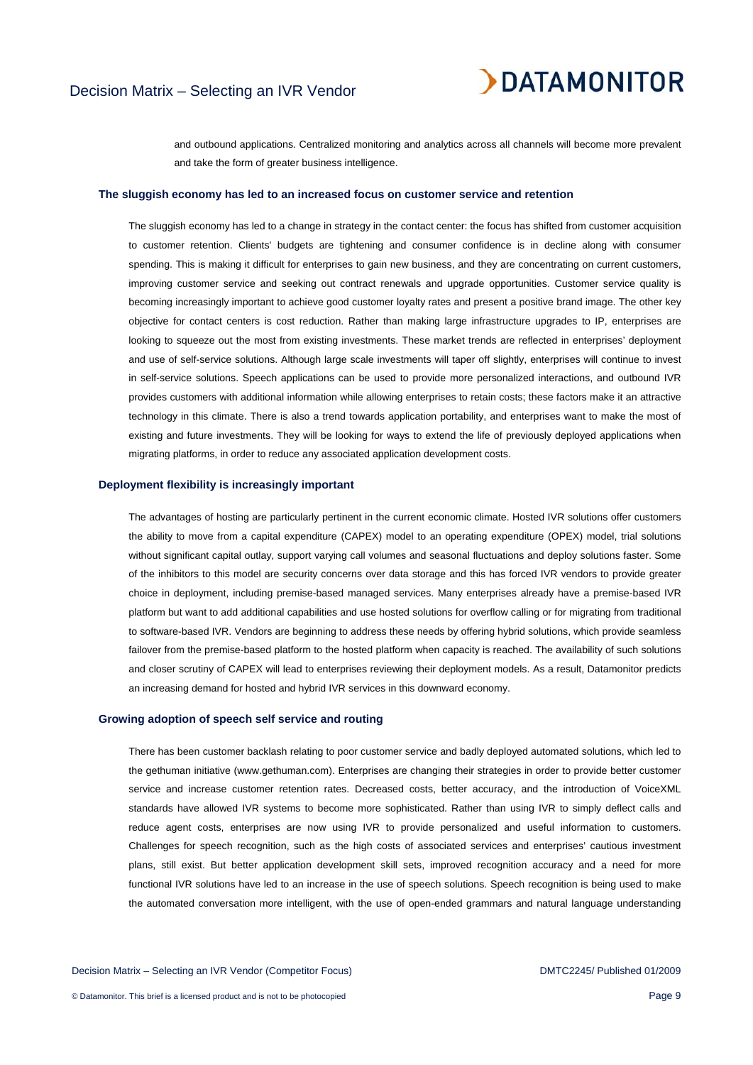and outbound applications. Centralized monitoring and analytics across all channels will become more prevalent and take the form of greater business intelligence.

#### **The sluggish economy has led to an increased focus on customer service and retention**

The sluggish economy has led to a change in strategy in the contact center: the focus has shifted from customer acquisition to customer retention. Clients' budgets are tightening and consumer confidence is in decline along with consumer spending. This is making it difficult for enterprises to gain new business, and they are concentrating on current customers, improving customer service and seeking out contract renewals and upgrade opportunities. Customer service quality is becoming increasingly important to achieve good customer loyalty rates and present a positive brand image. The other key objective for contact centers is cost reduction. Rather than making large infrastructure upgrades to IP, enterprises are looking to squeeze out the most from existing investments. These market trends are reflected in enterprises' deployment and use of self-service solutions. Although large scale investments will taper off slightly, enterprises will continue to invest in self-service solutions. Speech applications can be used to provide more personalized interactions, and outbound IVR provides customers with additional information while allowing enterprises to retain costs; these factors make it an attractive technology in this climate. There is also a trend towards application portability, and enterprises want to make the most of existing and future investments. They will be looking for ways to extend the life of previously deployed applications when migrating platforms, in order to reduce any associated application development costs.

#### **Deployment flexibility is increasingly important**

The advantages of hosting are particularly pertinent in the current economic climate. Hosted IVR solutions offer customers the ability to move from a capital expenditure (CAPEX) model to an operating expenditure (OPEX) model, trial solutions without significant capital outlay, support varying call volumes and seasonal fluctuations and deploy solutions faster. Some of the inhibitors to this model are security concerns over data storage and this has forced IVR vendors to provide greater choice in deployment, including premise-based managed services. Many enterprises already have a premise-based IVR platform but want to add additional capabilities and use hosted solutions for overflow calling or for migrating from traditional to software-based IVR. Vendors are beginning to address these needs by offering hybrid solutions, which provide seamless failover from the premise-based platform to the hosted platform when capacity is reached. The availability of such solutions and closer scrutiny of CAPEX will lead to enterprises reviewing their deployment models. As a result, Datamonitor predicts an increasing demand for hosted and hybrid IVR services in this downward economy.

#### **Growing adoption of speech self service and routing**

There has been customer backlash relating to poor customer service and badly deployed automated solutions, which led to the gethuman initiative (www.gethuman.com). Enterprises are changing their strategies in order to provide better customer service and increase customer retention rates. Decreased costs, better accuracy, and the introduction of VoiceXML standards have allowed IVR systems to become more sophisticated. Rather than using IVR to simply deflect calls and reduce agent costs, enterprises are now using IVR to provide personalized and useful information to customers. Challenges for speech recognition, such as the high costs of associated services and enterprises' cautious investment plans, still exist. But better application development skill sets, improved recognition accuracy and a need for more functional IVR solutions have led to an increase in the use of speech solutions. Speech recognition is being used to make the automated conversation more intelligent, with the use of open-ended grammars and natural language understanding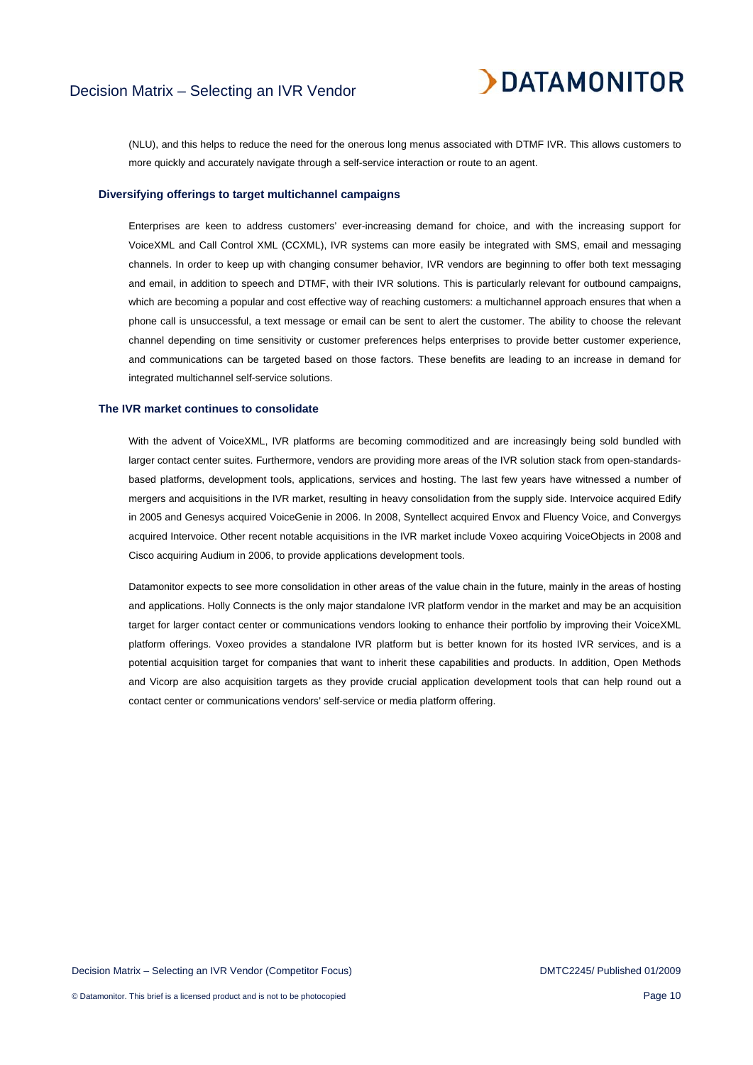(NLU), and this helps to reduce the need for the onerous long menus associated with DTMF IVR. This allows customers to more quickly and accurately navigate through a self-service interaction or route to an agent.

#### **Diversifying offerings to target multichannel campaigns**

Enterprises are keen to address customers' ever-increasing demand for choice, and with the increasing support for VoiceXML and Call Control XML (CCXML), IVR systems can more easily be integrated with SMS, email and messaging channels. In order to keep up with changing consumer behavior, IVR vendors are beginning to offer both text messaging and email, in addition to speech and DTMF, with their IVR solutions. This is particularly relevant for outbound campaigns, which are becoming a popular and cost effective way of reaching customers: a multichannel approach ensures that when a phone call is unsuccessful, a text message or email can be sent to alert the customer. The ability to choose the relevant channel depending on time sensitivity or customer preferences helps enterprises to provide better customer experience, and communications can be targeted based on those factors. These benefits are leading to an increase in demand for integrated multichannel self-service solutions.

#### **The IVR market continues to consolidate**

With the advent of VoiceXML, IVR platforms are becoming commoditized and are increasingly being sold bundled with larger contact center suites. Furthermore, vendors are providing more areas of the IVR solution stack from open-standardsbased platforms, development tools, applications, services and hosting. The last few years have witnessed a number of mergers and acquisitions in the IVR market, resulting in heavy consolidation from the supply side. Intervoice acquired Edify in 2005 and Genesys acquired VoiceGenie in 2006. In 2008, Syntellect acquired Envox and Fluency Voice, and Convergys acquired Intervoice. Other recent notable acquisitions in the IVR market include Voxeo acquiring VoiceObjects in 2008 and Cisco acquiring Audium in 2006, to provide applications development tools.

Datamonitor expects to see more consolidation in other areas of the value chain in the future, mainly in the areas of hosting and applications. Holly Connects is the only major standalone IVR platform vendor in the market and may be an acquisition target for larger contact center or communications vendors looking to enhance their portfolio by improving their VoiceXML platform offerings. Voxeo provides a standalone IVR platform but is better known for its hosted IVR services, and is a potential acquisition target for companies that want to inherit these capabilities and products. In addition, Open Methods and Vicorp are also acquisition targets as they provide crucial application development tools that can help round out a contact center or communications vendors' self-service or media platform offering.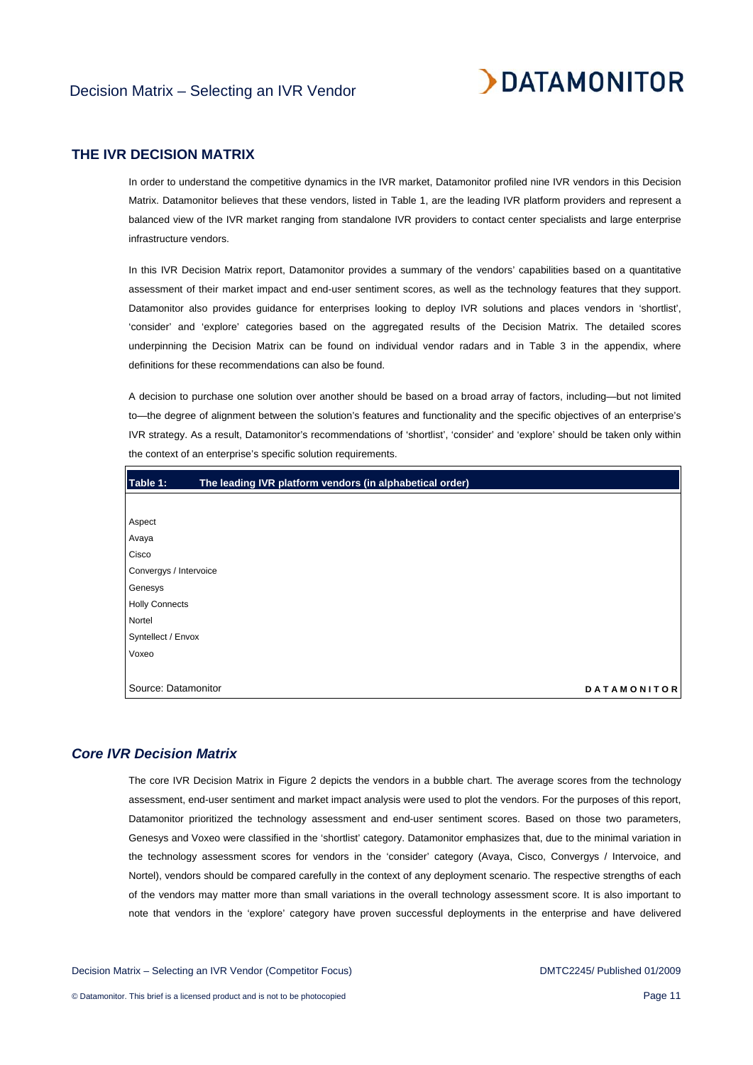### **THE IVR DECISION MATRIX**

In order to understand the competitive dynamics in the IVR market, Datamonitor profiled nine IVR vendors in this Decision Matrix. Datamonitor believes that these vendors, listed in Table 1, are the leading IVR platform providers and represent a balanced view of the IVR market ranging from standalone IVR providers to contact center specialists and large enterprise infrastructure vendors.

In this IVR Decision Matrix report, Datamonitor provides a summary of the vendors' capabilities based on a quantitative assessment of their market impact and end-user sentiment scores, as well as the technology features that they support. Datamonitor also provides guidance for enterprises looking to deploy IVR solutions and places vendors in 'shortlist', 'consider' and 'explore' categories based on the aggregated results of the Decision Matrix. The detailed scores underpinning the Decision Matrix can be found on individual vendor radars and in Table 3 in the appendix, where definitions for these recommendations can also be found.

A decision to purchase one solution over another should be based on a broad array of factors, including—but not limited to—the degree of alignment between the solution's features and functionality and the specific objectives of an enterprise's IVR strategy. As a result, Datamonitor's recommendations of 'shortlist', 'consider' and 'explore' should be taken only within the context of an enterprise's specific solution requirements.

| Table 1:               | The leading IVR platform vendors (in alphabetical order) |
|------------------------|----------------------------------------------------------|
|                        |                                                          |
| Aspect                 |                                                          |
| Avaya                  |                                                          |
| Cisco                  |                                                          |
| Convergys / Intervoice |                                                          |
| Genesys                |                                                          |
| <b>Holly Connects</b>  |                                                          |
| Nortel                 |                                                          |
| Syntellect / Envox     |                                                          |
| Voxeo                  |                                                          |
|                        |                                                          |
| Source: Datamonitor    | <b>DATAMONITOR</b>                                       |

#### *Core IVR Decision Matrix*

The core IVR Decision Matrix in Figure 2 depicts the vendors in a bubble chart. The average scores from the technology assessment, end-user sentiment and market impact analysis were used to plot the vendors. For the purposes of this report, Datamonitor prioritized the technology assessment and end-user sentiment scores. Based on those two parameters, Genesys and Voxeo were classified in the 'shortlist' category. Datamonitor emphasizes that, due to the minimal variation in the technology assessment scores for vendors in the 'consider' category (Avaya, Cisco, Convergys / Intervoice, and Nortel), vendors should be compared carefully in the context of any deployment scenario. The respective strengths of each of the vendors may matter more than small variations in the overall technology assessment score. It is also important to note that vendors in the 'explore' category have proven successful deployments in the enterprise and have delivered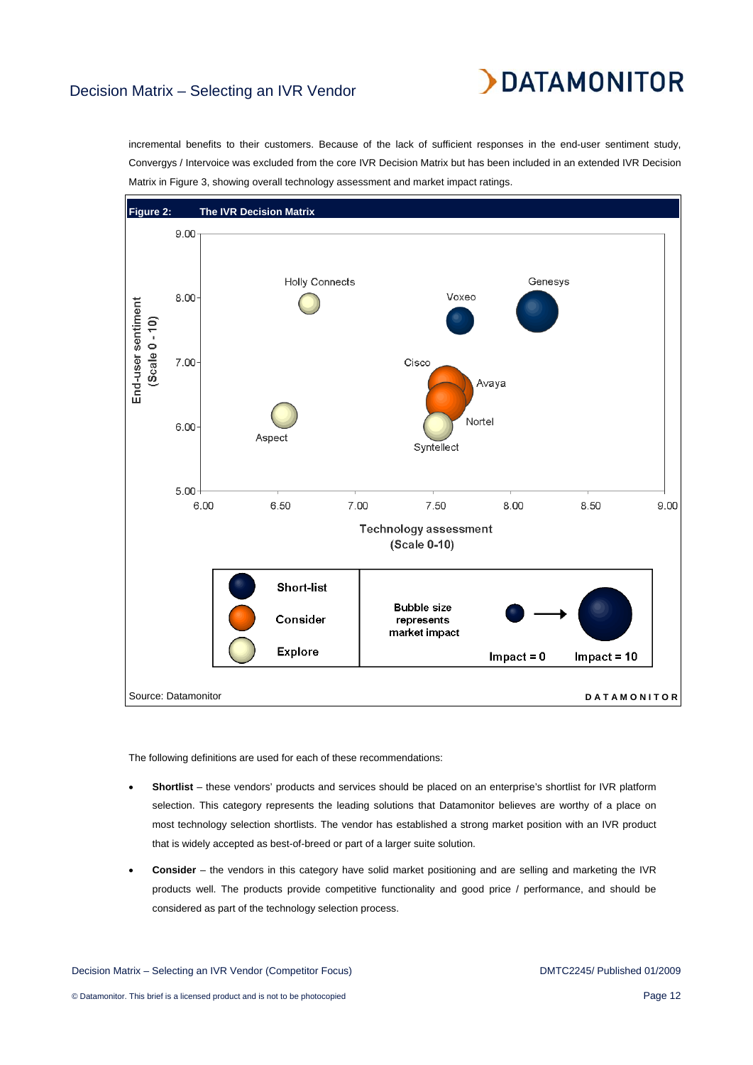### Decision Matrix – Selecting an IVR Vendor

incremental benefits to their customers. Because of the lack of sufficient responses in the end-user sentiment study, Convergys / Intervoice was excluded from the core IVR Decision Matrix but has been included in an extended IVR Decision Matrix in Figure 3, showing overall technology assessment and market impact ratings.



The following definitions are used for each of these recommendations:

- **Shortlist**  these vendors' products and services should be placed on an enterprise's shortlist for IVR platform selection. This category represents the leading solutions that Datamonitor believes are worthy of a place on most technology selection shortlists. The vendor has established a strong market position with an IVR product that is widely accepted as best-of-breed or part of a larger suite solution.
- **Consider** the vendors in this category have solid market positioning and are selling and marketing the IVR products well. The products provide competitive functionality and good price / performance, and should be considered as part of the technology selection process.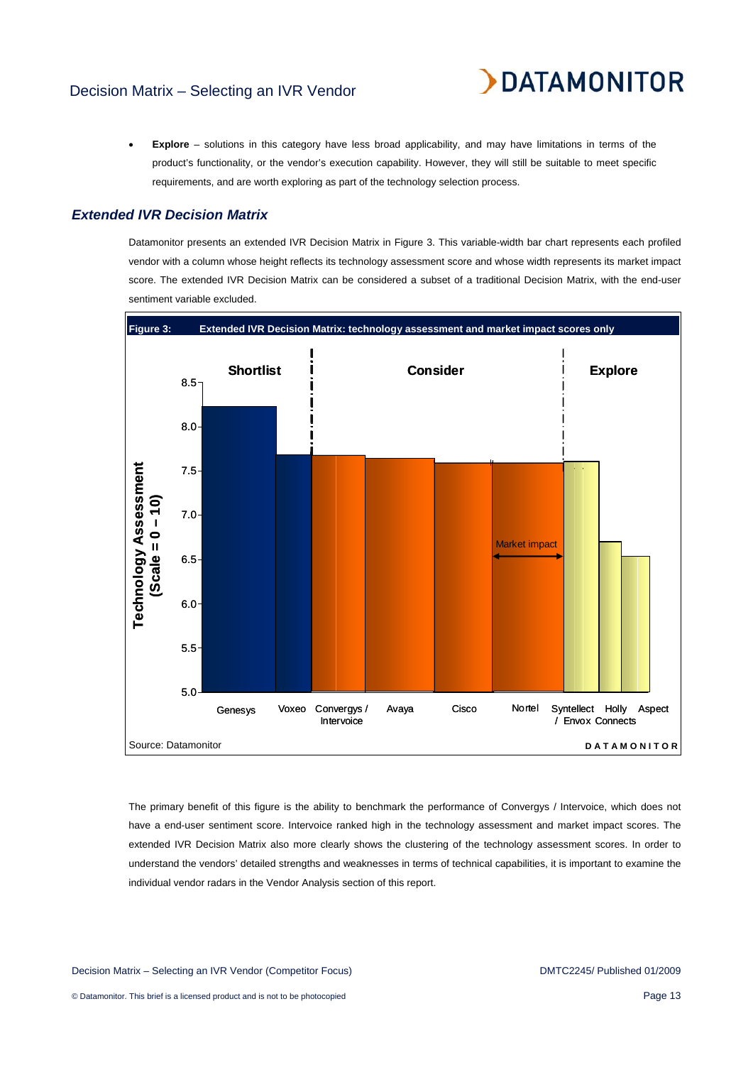**Explore** – solutions in this category have less broad applicability, and may have limitations in terms of the product's functionality, or the vendor's execution capability. However, they will still be suitable to meet specific requirements, and are worth exploring as part of the technology selection process.

**DATAMONITOR** 

### *Extended IVR Decision Matrix*

Datamonitor presents an extended IVR Decision Matrix in Figure 3. This variable-width bar chart represents each profiled vendor with a column whose height reflects its technology assessment score and whose width represents its market impact score. The extended IVR Decision Matrix can be considered a subset of a traditional Decision Matrix, with the end-user sentiment variable excluded.



The primary benefit of this figure is the ability to benchmark the performance of Convergys / Intervoice, which does not have a end-user sentiment score. Intervoice ranked high in the technology assessment and market impact scores. The extended IVR Decision Matrix also more clearly shows the clustering of the technology assessment scores. In order to understand the vendors' detailed strengths and weaknesses in terms of technical capabilities, it is important to examine the individual vendor radars in the Vendor Analysis section of this report.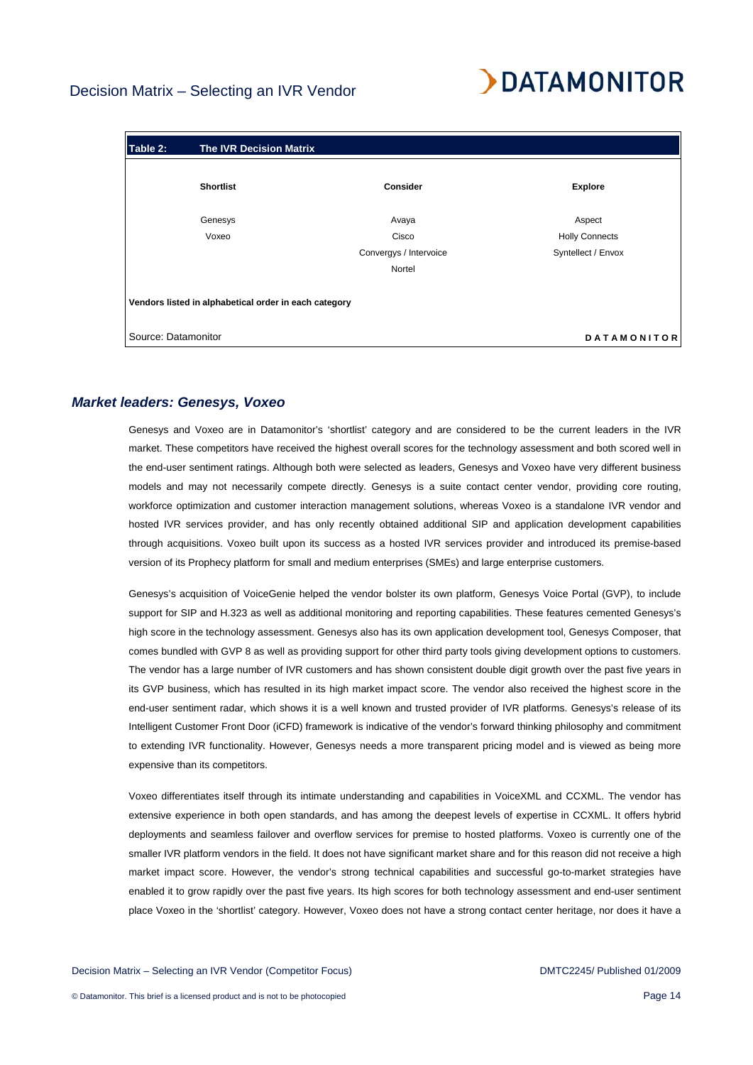# **DATAMONITOR**

| Table 2:            | <b>The IVR Decision Matrix</b>                        |                        |                       |
|---------------------|-------------------------------------------------------|------------------------|-----------------------|
|                     | <b>Shortlist</b>                                      | <b>Consider</b>        | <b>Explore</b>        |
|                     | Genesys                                               | Avaya                  | Aspect                |
|                     | Voxeo                                                 | Cisco                  | <b>Holly Connects</b> |
|                     |                                                       | Convergys / Intervoice | Syntellect / Envox    |
|                     |                                                       | Nortel                 |                       |
|                     | Vendors listed in alphabetical order in each category |                        |                       |
| Source: Datamonitor |                                                       |                        | <b>DATAMONITOR</b>    |

#### *Market leaders: Genesys, Voxeo*

Genesys and Voxeo are in Datamonitor's 'shortlist' category and are considered to be the current leaders in the IVR market. These competitors have received the highest overall scores for the technology assessment and both scored well in the end-user sentiment ratings. Although both were selected as leaders, Genesys and Voxeo have very different business models and may not necessarily compete directly. Genesys is a suite contact center vendor, providing core routing, workforce optimization and customer interaction management solutions, whereas Voxeo is a standalone IVR vendor and hosted IVR services provider, and has only recently obtained additional SIP and application development capabilities through acquisitions. Voxeo built upon its success as a hosted IVR services provider and introduced its premise-based version of its Prophecy platform for small and medium enterprises (SMEs) and large enterprise customers.

Genesys's acquisition of VoiceGenie helped the vendor bolster its own platform, Genesys Voice Portal (GVP), to include support for SIP and H.323 as well as additional monitoring and reporting capabilities. These features cemented Genesys's high score in the technology assessment. Genesys also has its own application development tool, Genesys Composer, that comes bundled with GVP 8 as well as providing support for other third party tools giving development options to customers. The vendor has a large number of IVR customers and has shown consistent double digit growth over the past five years in its GVP business, which has resulted in its high market impact score. The vendor also received the highest score in the end-user sentiment radar, which shows it is a well known and trusted provider of IVR platforms. Genesys's release of its Intelligent Customer Front Door (iCFD) framework is indicative of the vendor's forward thinking philosophy and commitment to extending IVR functionality. However, Genesys needs a more transparent pricing model and is viewed as being more expensive than its competitors.

Voxeo differentiates itself through its intimate understanding and capabilities in VoiceXML and CCXML. The vendor has extensive experience in both open standards, and has among the deepest levels of expertise in CCXML. It offers hybrid deployments and seamless failover and overflow services for premise to hosted platforms. Voxeo is currently one of the smaller IVR platform vendors in the field. It does not have significant market share and for this reason did not receive a high market impact score. However, the vendor's strong technical capabilities and successful go-to-market strategies have enabled it to grow rapidly over the past five years. Its high scores for both technology assessment and end-user sentiment place Voxeo in the 'shortlist' category. However, Voxeo does not have a strong contact center heritage, nor does it have a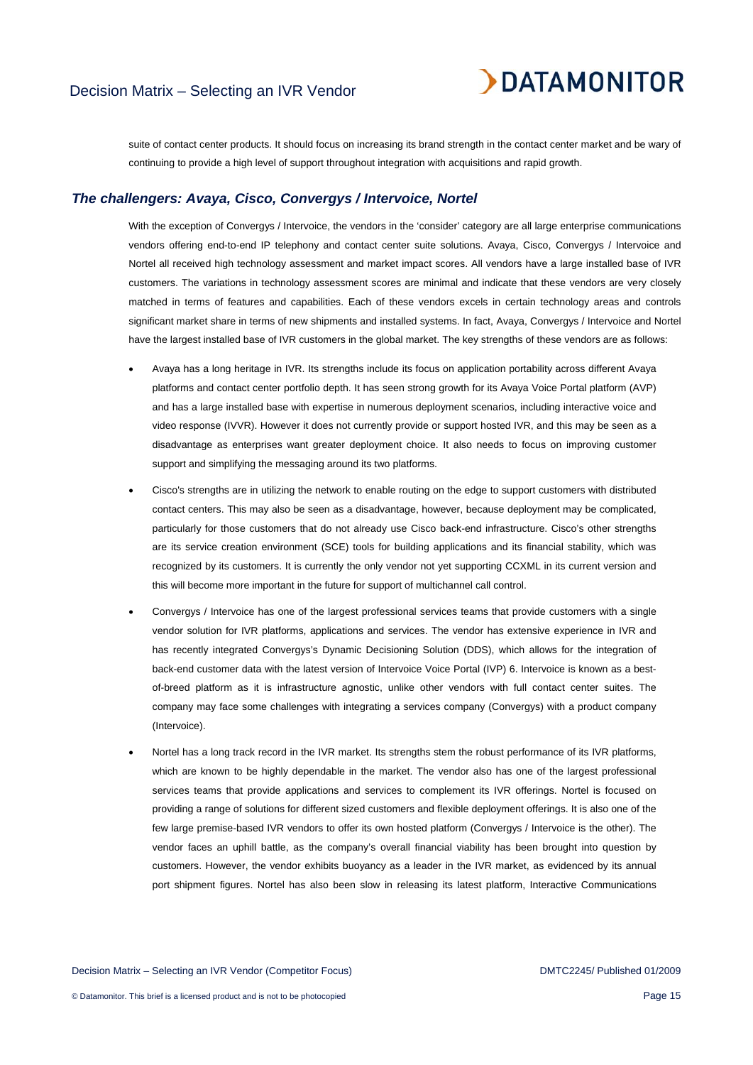suite of contact center products. It should focus on increasing its brand strength in the contact center market and be wary of continuing to provide a high level of support throughout integration with acquisitions and rapid growth.

#### *The challengers: Avaya, Cisco, Convergys / Intervoice, Nortel*

With the exception of Convergys / Intervoice, the vendors in the 'consider' category are all large enterprise communications vendors offering end-to-end IP telephony and contact center suite solutions. Avaya, Cisco, Convergys / Intervoice and Nortel all received high technology assessment and market impact scores. All vendors have a large installed base of IVR customers. The variations in technology assessment scores are minimal and indicate that these vendors are very closely matched in terms of features and capabilities. Each of these vendors excels in certain technology areas and controls significant market share in terms of new shipments and installed systems. In fact, Avaya, Convergys / Intervoice and Nortel have the largest installed base of IVR customers in the global market. The key strengths of these vendors are as follows:

- Avaya has a long heritage in IVR. Its strengths include its focus on application portability across different Avaya platforms and contact center portfolio depth. It has seen strong growth for its Avaya Voice Portal platform (AVP) and has a large installed base with expertise in numerous deployment scenarios, including interactive voice and video response (IVVR). However it does not currently provide or support hosted IVR, and this may be seen as a disadvantage as enterprises want greater deployment choice. It also needs to focus on improving customer support and simplifying the messaging around its two platforms.
- Cisco's strengths are in utilizing the network to enable routing on the edge to support customers with distributed contact centers. This may also be seen as a disadvantage, however, because deployment may be complicated, particularly for those customers that do not already use Cisco back-end infrastructure. Cisco's other strengths are its service creation environment (SCE) tools for building applications and its financial stability, which was recognized by its customers. It is currently the only vendor not yet supporting CCXML in its current version and this will become more important in the future for support of multichannel call control.
- Convergys / Intervoice has one of the largest professional services teams that provide customers with a single vendor solution for IVR platforms, applications and services. The vendor has extensive experience in IVR and has recently integrated Convergys's Dynamic Decisioning Solution (DDS), which allows for the integration of back-end customer data with the latest version of Intervoice Voice Portal (IVP) 6. Intervoice is known as a bestof-breed platform as it is infrastructure agnostic, unlike other vendors with full contact center suites. The company may face some challenges with integrating a services company (Convergys) with a product company (Intervoice).
- Nortel has a long track record in the IVR market. Its strengths stem the robust performance of its IVR platforms, which are known to be highly dependable in the market. The vendor also has one of the largest professional services teams that provide applications and services to complement its IVR offerings. Nortel is focused on providing a range of solutions for different sized customers and flexible deployment offerings. It is also one of the few large premise-based IVR vendors to offer its own hosted platform (Convergys / Intervoice is the other). The vendor faces an uphill battle, as the company's overall financial viability has been brought into question by customers. However, the vendor exhibits buoyancy as a leader in the IVR market, as evidenced by its annual port shipment figures. Nortel has also been slow in releasing its latest platform, Interactive Communications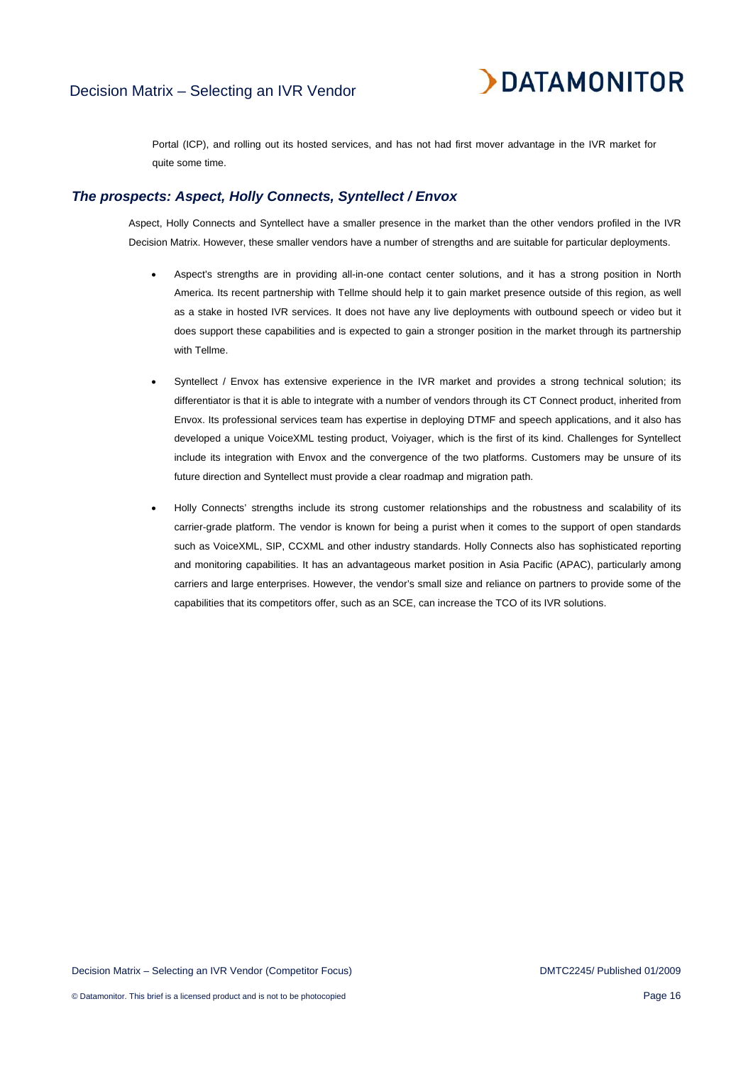

Portal (ICP), and rolling out its hosted services, and has not had first mover advantage in the IVR market for quite some time.

#### *The prospects: Aspect, Holly Connects, Syntellect / Envox*

Aspect, Holly Connects and Syntellect have a smaller presence in the market than the other vendors profiled in the IVR Decision Matrix. However, these smaller vendors have a number of strengths and are suitable for particular deployments.

- Aspect's strengths are in providing all-in-one contact center solutions, and it has a strong position in North America. Its recent partnership with Tellme should help it to gain market presence outside of this region, as well as a stake in hosted IVR services. It does not have any live deployments with outbound speech or video but it does support these capabilities and is expected to gain a stronger position in the market through its partnership with Tellme.
- Syntellect / Envox has extensive experience in the IVR market and provides a strong technical solution; its differentiator is that it is able to integrate with a number of vendors through its CT Connect product, inherited from Envox. Its professional services team has expertise in deploying DTMF and speech applications, and it also has developed a unique VoiceXML testing product, Voiyager, which is the first of its kind. Challenges for Syntellect include its integration with Envox and the convergence of the two platforms. Customers may be unsure of its future direction and Syntellect must provide a clear roadmap and migration path.
- Holly Connects' strengths include its strong customer relationships and the robustness and scalability of its carrier-grade platform. The vendor is known for being a purist when it comes to the support of open standards such as VoiceXML, SIP, CCXML and other industry standards. Holly Connects also has sophisticated reporting and monitoring capabilities. It has an advantageous market position in Asia Pacific (APAC), particularly among carriers and large enterprises. However, the vendor's small size and reliance on partners to provide some of the capabilities that its competitors offer, such as an SCE, can increase the TCO of its IVR solutions.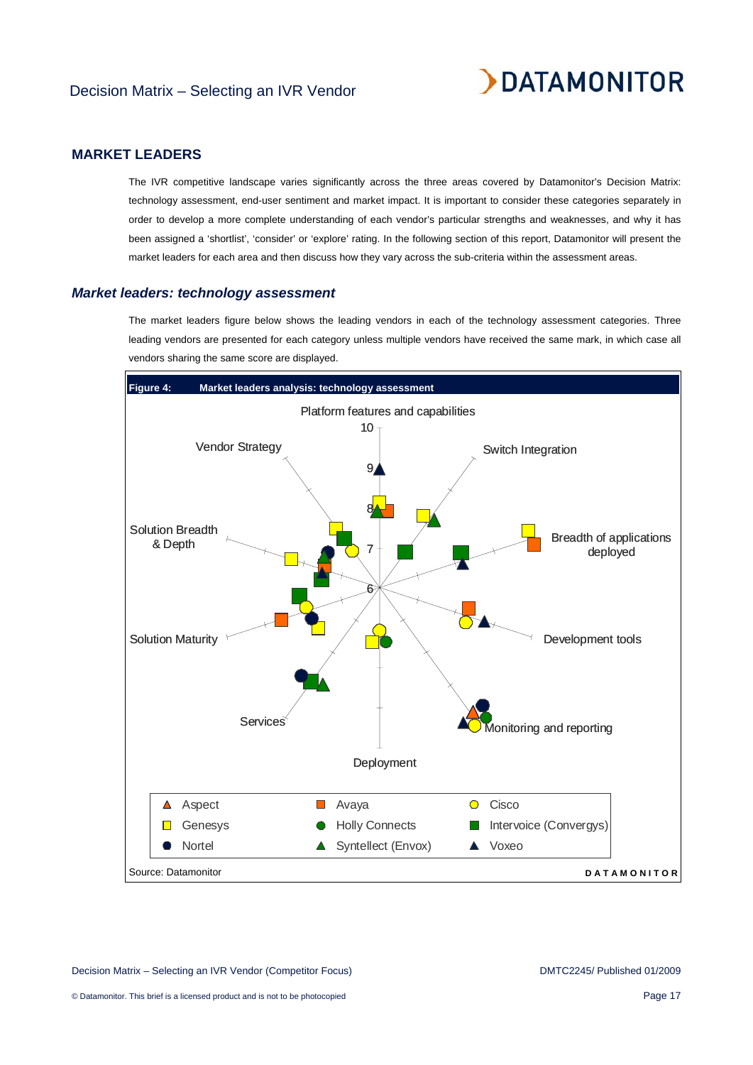### **MARKET LEADERS**

The IVR competitive landscape varies significantly across the three areas covered by Datamonitor's Decision Matrix: technology assessment, end-user sentiment and market impact. It is important to consider these categories separately in order to develop a more complete understanding of each vendor's particular strengths and weaknesses, and why it has been assigned a 'shortlist', 'consider' or 'explore' rating. In the following section of this report, Datamonitor will present the market leaders for each area and then discuss how they vary across the sub-criteria within the assessment areas.

#### *Market leaders: technology assessment*

The market leaders figure below shows the leading vendors in each of the technology assessment categories. Three leading vendors are presented for each category unless multiple vendors have received the same mark, in which case all vendors sharing the same score are displayed.

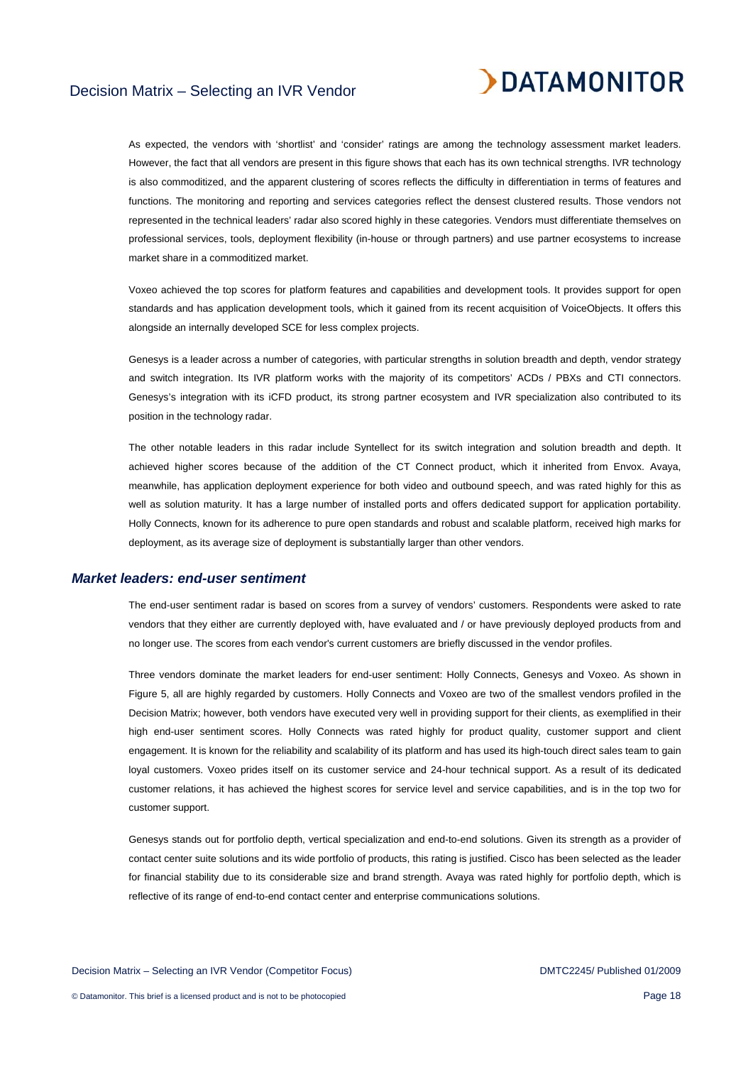## **DATAMONITOR**

As expected, the vendors with 'shortlist' and 'consider' ratings are among the technology assessment market leaders. However, the fact that all vendors are present in this figure shows that each has its own technical strengths. IVR technology is also commoditized, and the apparent clustering of scores reflects the difficulty in differentiation in terms of features and functions. The monitoring and reporting and services categories reflect the densest clustered results. Those vendors not represented in the technical leaders' radar also scored highly in these categories. Vendors must differentiate themselves on professional services, tools, deployment flexibility (in-house or through partners) and use partner ecosystems to increase market share in a commoditized market.

Voxeo achieved the top scores for platform features and capabilities and development tools. It provides support for open standards and has application development tools, which it gained from its recent acquisition of VoiceObjects. It offers this alongside an internally developed SCE for less complex projects.

Genesys is a leader across a number of categories, with particular strengths in solution breadth and depth, vendor strategy and switch integration. Its IVR platform works with the majority of its competitors' ACDs / PBXs and CTI connectors. Genesys's integration with its iCFD product, its strong partner ecosystem and IVR specialization also contributed to its position in the technology radar.

The other notable leaders in this radar include Syntellect for its switch integration and solution breadth and depth. It achieved higher scores because of the addition of the CT Connect product, which it inherited from Envox. Avaya, meanwhile, has application deployment experience for both video and outbound speech, and was rated highly for this as well as solution maturity. It has a large number of installed ports and offers dedicated support for application portability. Holly Connects, known for its adherence to pure open standards and robust and scalable platform, received high marks for deployment, as its average size of deployment is substantially larger than other vendors.

#### *Market leaders: end-user sentiment*

The end-user sentiment radar is based on scores from a survey of vendors' customers. Respondents were asked to rate vendors that they either are currently deployed with, have evaluated and / or have previously deployed products from and no longer use. The scores from each vendor's current customers are briefly discussed in the vendor profiles.

Three vendors dominate the market leaders for end-user sentiment: Holly Connects, Genesys and Voxeo. As shown in Figure 5, all are highly regarded by customers. Holly Connects and Voxeo are two of the smallest vendors profiled in the Decision Matrix; however, both vendors have executed very well in providing support for their clients, as exemplified in their high end-user sentiment scores. Holly Connects was rated highly for product quality, customer support and client engagement. It is known for the reliability and scalability of its platform and has used its high-touch direct sales team to gain loyal customers. Voxeo prides itself on its customer service and 24-hour technical support. As a result of its dedicated customer relations, it has achieved the highest scores for service level and service capabilities, and is in the top two for customer support.

Genesys stands out for portfolio depth, vertical specialization and end-to-end solutions. Given its strength as a provider of contact center suite solutions and its wide portfolio of products, this rating is justified. Cisco has been selected as the leader for financial stability due to its considerable size and brand strength. Avaya was rated highly for portfolio depth, which is reflective of its range of end-to-end contact center and enterprise communications solutions.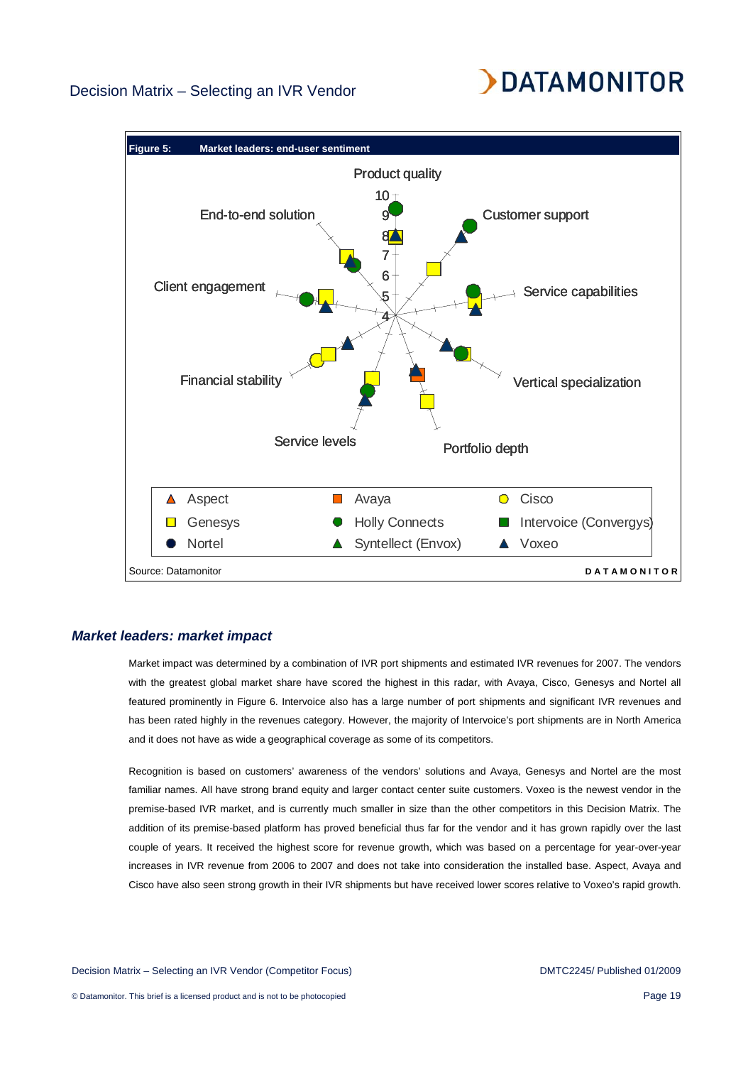### Decision Matrix – Selecting an IVR Vendor



#### *Market leaders: market impact*

Market impact was determined by a combination of IVR port shipments and estimated IVR revenues for 2007. The vendors with the greatest global market share have scored the highest in this radar, with Avaya, Cisco, Genesys and Nortel all featured prominently in Figure 6. Intervoice also has a large number of port shipments and significant IVR revenues and has been rated highly in the revenues category. However, the majority of Intervoice's port shipments are in North America and it does not have as wide a geographical coverage as some of its competitors.

Recognition is based on customers' awareness of the vendors' solutions and Avaya, Genesys and Nortel are the most familiar names. All have strong brand equity and larger contact center suite customers. Voxeo is the newest vendor in the premise-based IVR market, and is currently much smaller in size than the other competitors in this Decision Matrix. The addition of its premise-based platform has proved beneficial thus far for the vendor and it has grown rapidly over the last couple of years. It received the highest score for revenue growth, which was based on a percentage for year-over-year increases in IVR revenue from 2006 to 2007 and does not take into consideration the installed base. Aspect, Avaya and Cisco have also seen strong growth in their IVR shipments but have received lower scores relative to Voxeo's rapid growth.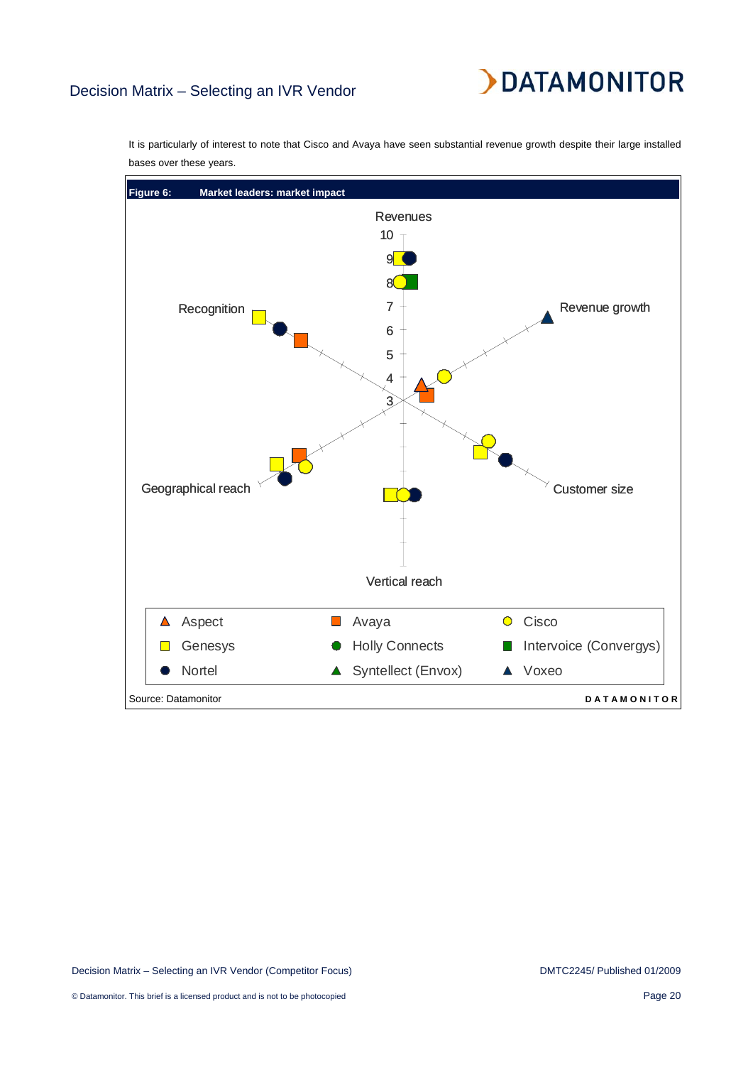## **DATAMONITOR**

It is particularly of interest to note that Cisco and Avaya have seen substantial revenue growth despite their large installed bases over these years.

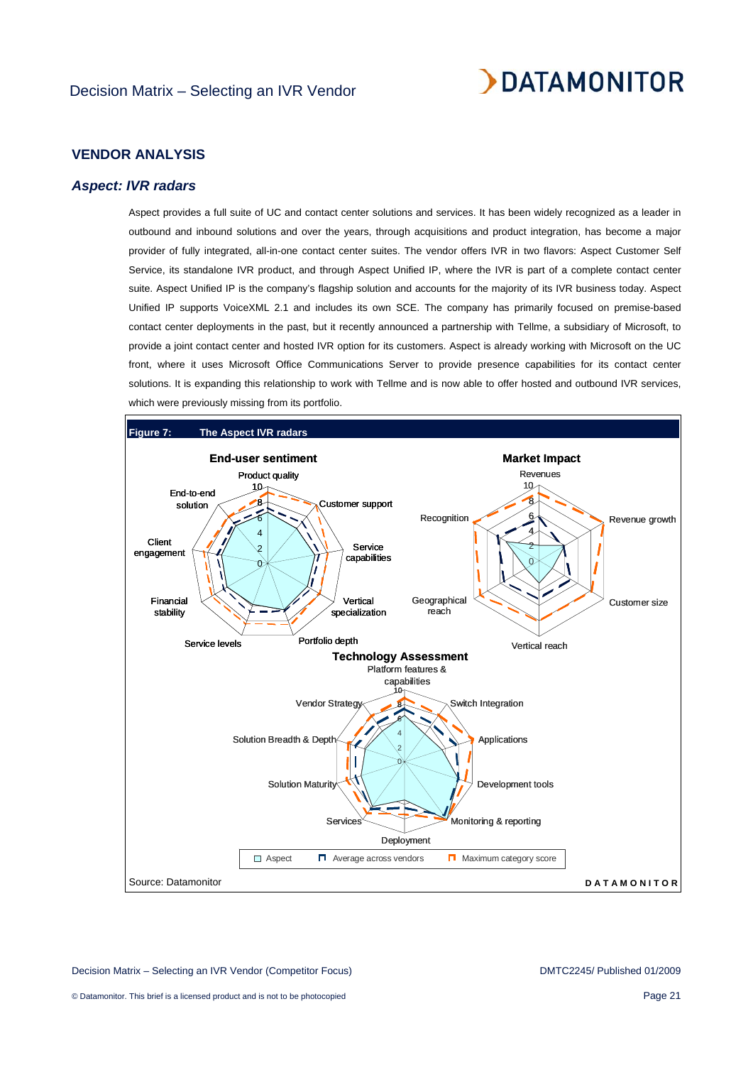## **DATAMONITOR**

### **VENDOR ANALYSIS**

### *Aspect: IVR radars*

Aspect provides a full suite of UC and contact center solutions and services. It has been widely recognized as a leader in outbound and inbound solutions and over the years, through acquisitions and product integration, has become a major provider of fully integrated, all-in-one contact center suites. The vendor offers IVR in two flavors: Aspect Customer Self Service, its standalone IVR product, and through Aspect Unified IP, where the IVR is part of a complete contact center suite. Aspect Unified IP is the company's flagship solution and accounts for the majority of its IVR business today. Aspect Unified IP supports VoiceXML 2.1 and includes its own SCE. The company has primarily focused on premise-based contact center deployments in the past, but it recently announced a partnership with Tellme, a subsidiary of Microsoft, to provide a joint contact center and hosted IVR option for its customers. Aspect is already working with Microsoft on the UC front, where it uses Microsoft Office Communications Server to provide presence capabilities for its contact center solutions. It is expanding this relationship to work with Tellme and is now able to offer hosted and outbound IVR services, which were previously missing from its portfolio.

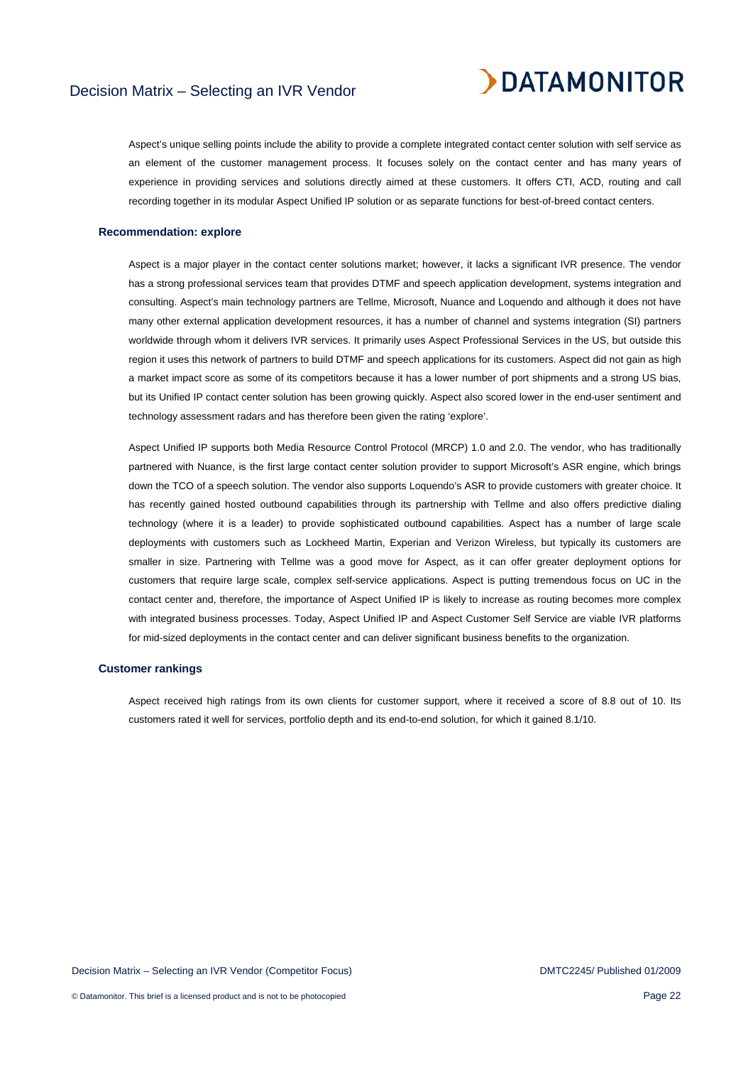Aspect's unique selling points include the ability to provide a complete integrated contact center solution with self service as an element of the customer management process. It focuses solely on the contact center and has many years of experience in providing services and solutions directly aimed at these customers. It offers CTI, ACD, routing and call recording together in its modular Aspect Unified IP solution or as separate functions for best-of-breed contact centers.

#### **Recommendation: explore**

Aspect is a major player in the contact center solutions market; however, it lacks a significant IVR presence. The vendor has a strong professional services team that provides DTMF and speech application development, systems integration and consulting. Aspect's main technology partners are Tellme, Microsoft, Nuance and Loquendo and although it does not have many other external application development resources, it has a number of channel and systems integration (SI) partners worldwide through whom it delivers IVR services. It primarily uses Aspect Professional Services in the US, but outside this region it uses this network of partners to build DTMF and speech applications for its customers. Aspect did not gain as high a market impact score as some of its competitors because it has a lower number of port shipments and a strong US bias, but its Unified IP contact center solution has been growing quickly. Aspect also scored lower in the end-user sentiment and technology assessment radars and has therefore been given the rating 'explore'.

Aspect Unified IP supports both Media Resource Control Protocol (MRCP) 1.0 and 2.0. The vendor, who has traditionally partnered with Nuance, is the first large contact center solution provider to support Microsoft's ASR engine, which brings down the TCO of a speech solution. The vendor also supports Loquendo's ASR to provide customers with greater choice. It has recently gained hosted outbound capabilities through its partnership with Tellme and also offers predictive dialing technology (where it is a leader) to provide sophisticated outbound capabilities. Aspect has a number of large scale deployments with customers such as Lockheed Martin, Experian and Verizon Wireless, but typically its customers are smaller in size. Partnering with Tellme was a good move for Aspect, as it can offer greater deployment options for customers that require large scale, complex self-service applications. Aspect is putting tremendous focus on UC in the contact center and, therefore, the importance of Aspect Unified IP is likely to increase as routing becomes more complex with integrated business processes. Today, Aspect Unified IP and Aspect Customer Self Service are viable IVR platforms for mid-sized deployments in the contact center and can deliver significant business benefits to the organization.

#### **Customer rankings**

Aspect received high ratings from its own clients for customer support, where it received a score of 8.8 out of 10. Its customers rated it well for services, portfolio depth and its end-to-end solution, for which it gained 8.1/10.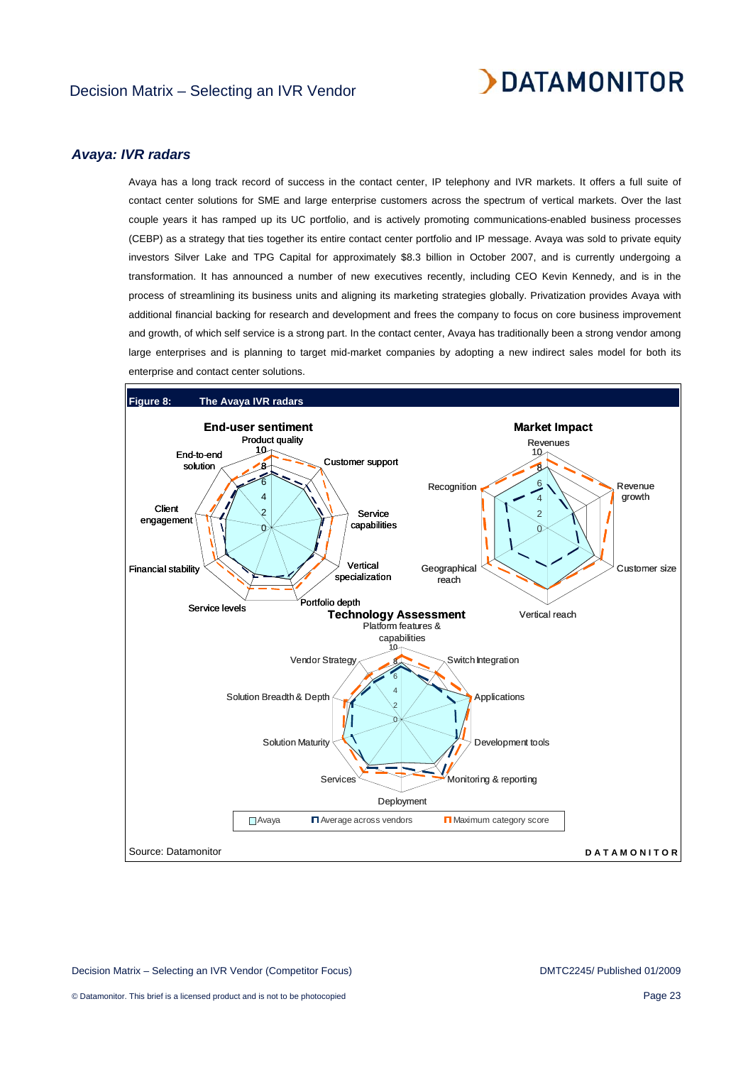### *Avaya: IVR radars*

Avaya has a long track record of success in the contact center, IP telephony and IVR markets. It offers a full suite of contact center solutions for SME and large enterprise customers across the spectrum of vertical markets. Over the last couple years it has ramped up its UC portfolio, and is actively promoting communications-enabled business processes (CEBP) as a strategy that ties together its entire contact center portfolio and IP message. Avaya was sold to private equity investors Silver Lake and TPG Capital for approximately \$8.3 billion in October 2007, and is currently undergoing a transformation. It has announced a number of new executives recently, including CEO Kevin Kennedy, and is in the process of streamlining its business units and aligning its marketing strategies globally. Privatization provides Avaya with additional financial backing for research and development and frees the company to focus on core business improvement and growth, of which self service is a strong part. In the contact center, Avaya has traditionally been a strong vendor among large enterprises and is planning to target mid-market companies by adopting a new indirect sales model for both its enterprise and contact center solutions.

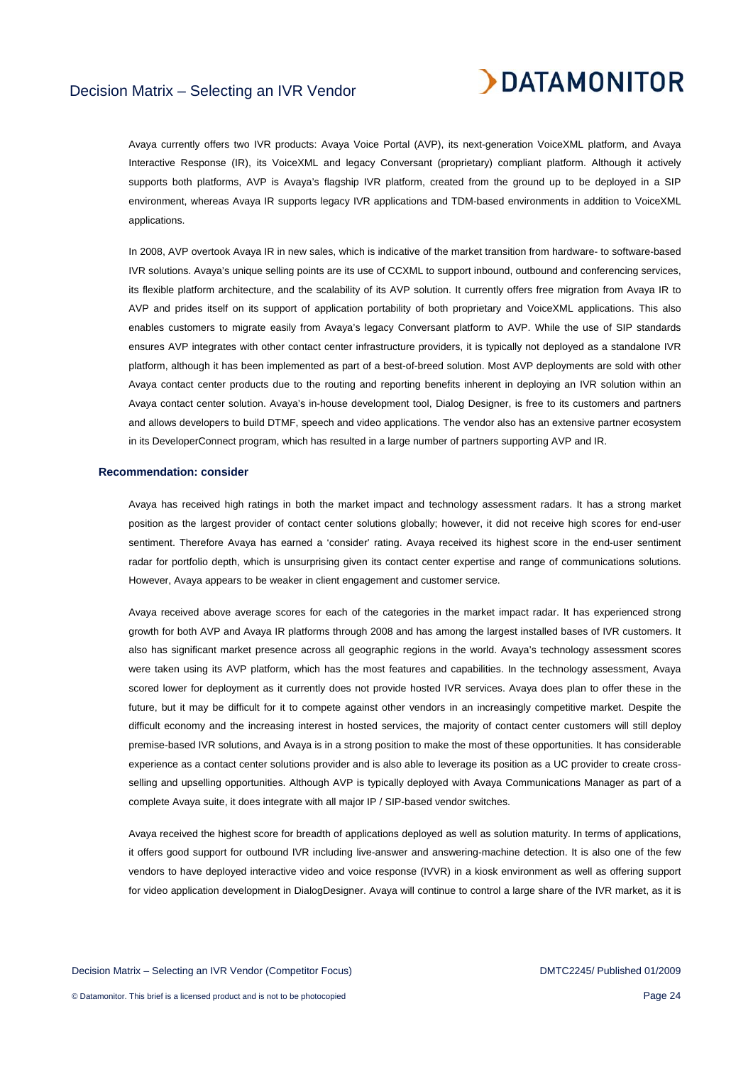## **DATAMONITOR**

Avaya currently offers two IVR products: Avaya Voice Portal (AVP), its next-generation VoiceXML platform, and Avaya Interactive Response (IR), its VoiceXML and legacy Conversant (proprietary) compliant platform. Although it actively supports both platforms, AVP is Avaya's flagship IVR platform, created from the ground up to be deployed in a SIP environment, whereas Avaya IR supports legacy IVR applications and TDM-based environments in addition to VoiceXML applications.

In 2008, AVP overtook Avaya IR in new sales, which is indicative of the market transition from hardware- to software-based IVR solutions. Avaya's unique selling points are its use of CCXML to support inbound, outbound and conferencing services, its flexible platform architecture, and the scalability of its AVP solution. It currently offers free migration from Avaya IR to AVP and prides itself on its support of application portability of both proprietary and VoiceXML applications. This also enables customers to migrate easily from Avaya's legacy Conversant platform to AVP. While the use of SIP standards ensures AVP integrates with other contact center infrastructure providers, it is typically not deployed as a standalone IVR platform, although it has been implemented as part of a best-of-breed solution. Most AVP deployments are sold with other Avaya contact center products due to the routing and reporting benefits inherent in deploying an IVR solution within an Avaya contact center solution. Avaya's in-house development tool, Dialog Designer, is free to its customers and partners and allows developers to build DTMF, speech and video applications. The vendor also has an extensive partner ecosystem in its DeveloperConnect program, which has resulted in a large number of partners supporting AVP and IR.

#### **Recommendation: consider**

Avaya has received high ratings in both the market impact and technology assessment radars. It has a strong market position as the largest provider of contact center solutions globally; however, it did not receive high scores for end-user sentiment. Therefore Avaya has earned a 'consider' rating. Avaya received its highest score in the end-user sentiment radar for portfolio depth, which is unsurprising given its contact center expertise and range of communications solutions. However, Avaya appears to be weaker in client engagement and customer service.

Avaya received above average scores for each of the categories in the market impact radar. It has experienced strong growth for both AVP and Avaya IR platforms through 2008 and has among the largest installed bases of IVR customers. It also has significant market presence across all geographic regions in the world. Avaya's technology assessment scores were taken using its AVP platform, which has the most features and capabilities. In the technology assessment, Avaya scored lower for deployment as it currently does not provide hosted IVR services. Avaya does plan to offer these in the future, but it may be difficult for it to compete against other vendors in an increasingly competitive market. Despite the difficult economy and the increasing interest in hosted services, the majority of contact center customers will still deploy premise-based IVR solutions, and Avaya is in a strong position to make the most of these opportunities. It has considerable experience as a contact center solutions provider and is also able to leverage its position as a UC provider to create crossselling and upselling opportunities. Although AVP is typically deployed with Avaya Communications Manager as part of a complete Avaya suite, it does integrate with all major IP / SIP-based vendor switches.

Avaya received the highest score for breadth of applications deployed as well as solution maturity. In terms of applications, it offers good support for outbound IVR including live-answer and answering-machine detection. It is also one of the few vendors to have deployed interactive video and voice response (IVVR) in a kiosk environment as well as offering support for video application development in DialogDesigner. Avaya will continue to control a large share of the IVR market, as it is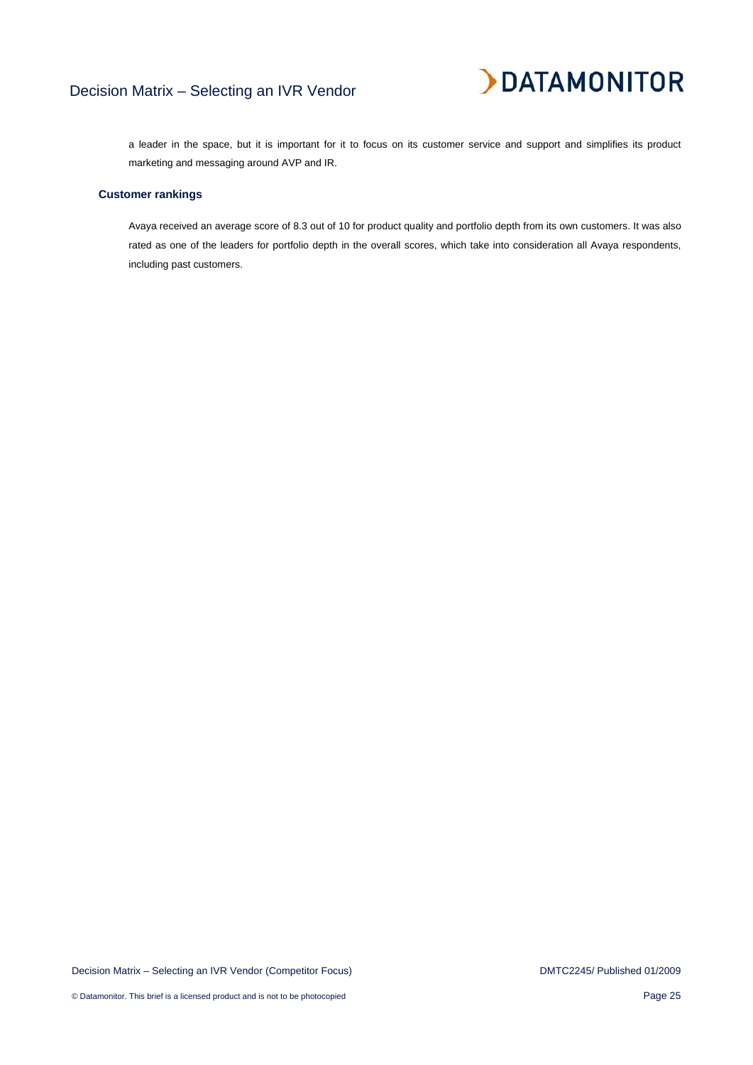

a leader in the space, but it is important for it to focus on its customer service and support and simplifies its product marketing and messaging around AVP and IR.

#### **Customer rankings**

Avaya received an average score of 8.3 out of 10 for product quality and portfolio depth from its own customers. It was also rated as one of the leaders for portfolio depth in the overall scores, which take into consideration all Avaya respondents, including past customers.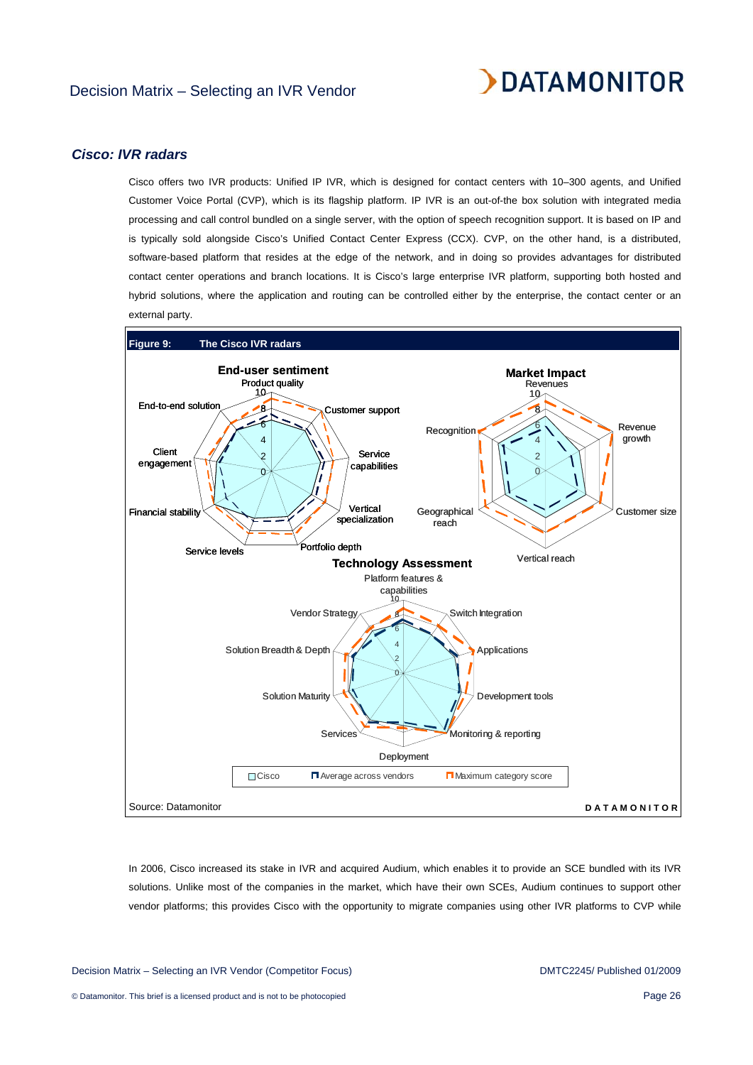### *Cisco: IVR radars*

Cisco offers two IVR products: Unified IP IVR, which is designed for contact centers with 10–300 agents, and Unified Customer Voice Portal (CVP), which is its flagship platform. IP IVR is an out-of-the box solution with integrated media processing and call control bundled on a single server, with the option of speech recognition support. It is based on IP and is typically sold alongside Cisco's Unified Contact Center Express (CCX). CVP, on the other hand, is a distributed, software-based platform that resides at the edge of the network, and in doing so provides advantages for distributed contact center operations and branch locations. It is Cisco's large enterprise IVR platform, supporting both hosted and hybrid solutions, where the application and routing can be controlled either by the enterprise, the contact center or an external party.



In 2006, Cisco increased its stake in IVR and acquired Audium, which enables it to provide an SCE bundled with its IVR solutions. Unlike most of the companies in the market, which have their own SCEs, Audium continues to support other vendor platforms; this provides Cisco with the opportunity to migrate companies using other IVR platforms to CVP while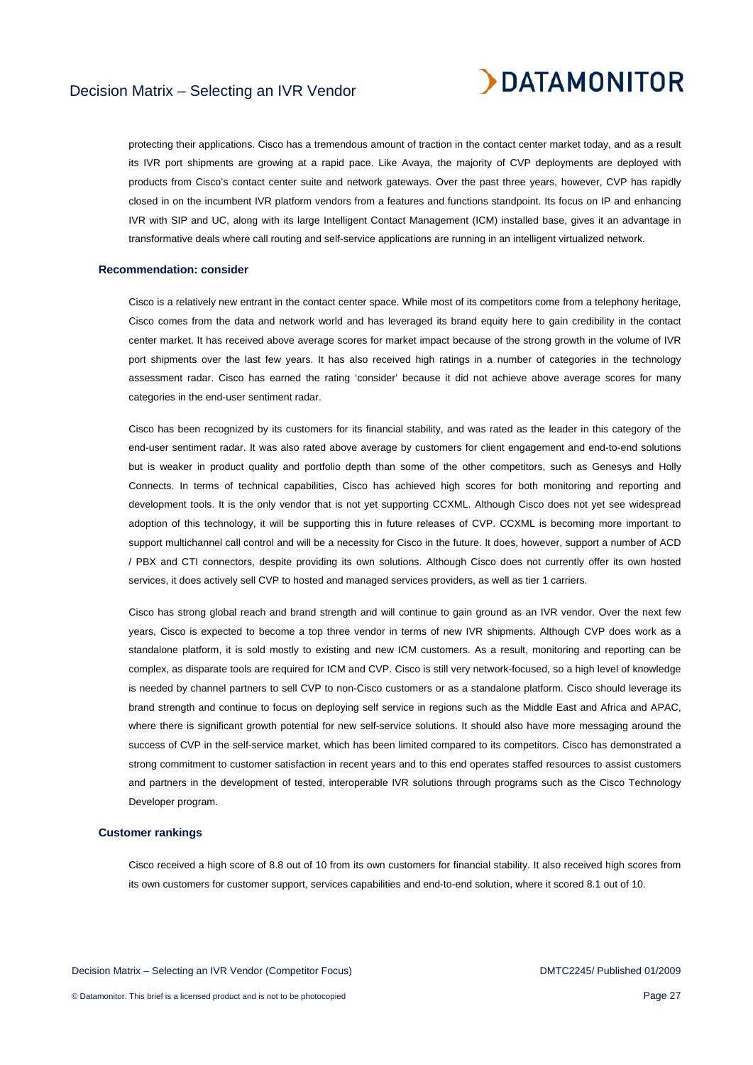## **DATAMONITOR**

protecting their applications. Cisco has a tremendous amount of traction in the contact center market today, and as a result its IVR port shipments are growing at a rapid pace. Like Avaya, the majority of CVP deployments are deployed with products from Cisco's contact center suite and network gateways. Over the past three years, however, CVP has rapidly closed in on the incumbent IVR platform vendors from a features and functions standpoint. Its focus on IP and enhancing IVR with SIP and UC, along with its large Intelligent Contact Management (ICM) installed base, gives it an advantage in transformative deals where call routing and self-service applications are running in an intelligent virtualized network.

#### **Recommendation: consider**

Cisco is a relatively new entrant in the contact center space. While most of its competitors come from a telephony heritage, Cisco comes from the data and network world and has leveraged its brand equity here to gain credibility in the contact center market. It has received above average scores for market impact because of the strong growth in the volume of IVR port shipments over the last few years. It has also received high ratings in a number of categories in the technology assessment radar. Cisco has earned the rating 'consider' because it did not achieve above average scores for many categories in the end-user sentiment radar.

Cisco has been recognized by its customers for its financial stability, and was rated as the leader in this category of the end-user sentiment radar. It was also rated above average by customers for client engagement and end-to-end solutions but is weaker in product quality and portfolio depth than some of the other competitors, such as Genesys and Holly Connects. In terms of technical capabilities, Cisco has achieved high scores for both monitoring and reporting and development tools. It is the only vendor that is not yet supporting CCXML. Although Cisco does not yet see widespread adoption of this technology, it will be supporting this in future releases of CVP. CCXML is becoming more important to support multichannel call control and will be a necessity for Cisco in the future. It does, however, support a number of ACD / PBX and CTI connectors, despite providing its own solutions. Although Cisco does not currently offer its own hosted services, it does actively sell CVP to hosted and managed services providers, as well as tier 1 carriers.

Cisco has strong global reach and brand strength and will continue to gain ground as an IVR vendor. Over the next few years, Cisco is expected to become a top three vendor in terms of new IVR shipments. Although CVP does work as a standalone platform, it is sold mostly to existing and new ICM customers. As a result, monitoring and reporting can be complex, as disparate tools are required for ICM and CVP. Cisco is still very network-focused, so a high level of knowledge is needed by channel partners to sell CVP to non-Cisco customers or as a standalone platform. Cisco should leverage its brand strength and continue to focus on deploying self service in regions such as the Middle East and Africa and APAC, where there is significant growth potential for new self-service solutions. It should also have more messaging around the success of CVP in the self-service market, which has been limited compared to its competitors. Cisco has demonstrated a strong commitment to customer satisfaction in recent years and to this end operates staffed resources to assist customers and partners in the development of tested, interoperable IVR solutions through programs such as the Cisco Technology Developer program.

#### **Customer rankings**

Cisco received a high score of 8.8 out of 10 from its own customers for financial stability. It also received high scores from its own customers for customer support, services capabilities and end-to-end solution, where it scored 8.1 out of 10.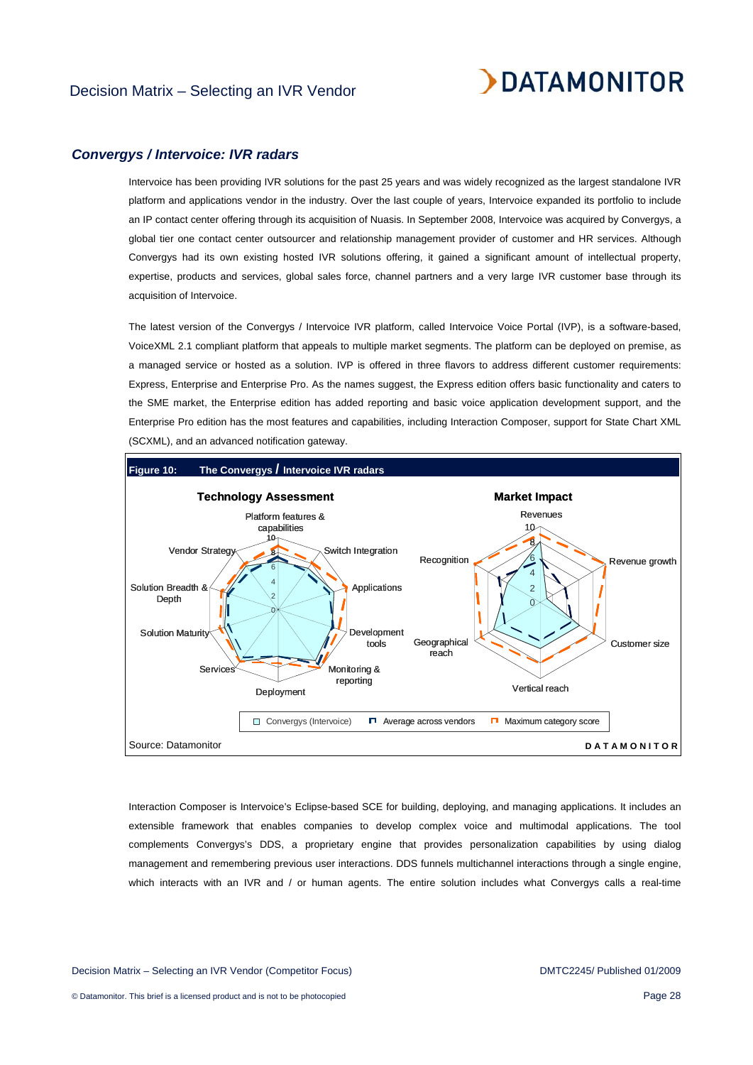#### *Convergys / Intervoice: IVR radars*

Intervoice has been providing IVR solutions for the past 25 years and was widely recognized as the largest standalone IVR platform and applications vendor in the industry. Over the last couple of years, Intervoice expanded its portfolio to include an IP contact center offering through its acquisition of Nuasis. In September 2008, Intervoice was acquired by Convergys, a global tier one contact center outsourcer and relationship management provider of customer and HR services. Although Convergys had its own existing hosted IVR solutions offering, it gained a significant amount of intellectual property, expertise, products and services, global sales force, channel partners and a very large IVR customer base through its acquisition of Intervoice.

The latest version of the Convergys / Intervoice IVR platform, called Intervoice Voice Portal (IVP), is a software-based, VoiceXML 2.1 compliant platform that appeals to multiple market segments. The platform can be deployed on premise, as a managed service or hosted as a solution. IVP is offered in three flavors to address different customer requirements: Express, Enterprise and Enterprise Pro. As the names suggest, the Express edition offers basic functionality and caters to the SME market, the Enterprise edition has added reporting and basic voice application development support, and the Enterprise Pro edition has the most features and capabilities, including Interaction Composer, support for State Chart XML (SCXML), and an advanced notification gateway.



Interaction Composer is Intervoice's Eclipse-based SCE for building, deploying, and managing applications. It includes an extensible framework that enables companies to develop complex voice and multimodal applications. The tool complements Convergys's DDS, a proprietary engine that provides personalization capabilities by using dialog management and remembering previous user interactions. DDS funnels multichannel interactions through a single engine, which interacts with an IVR and / or human agents. The entire solution includes what Convergys calls a real-time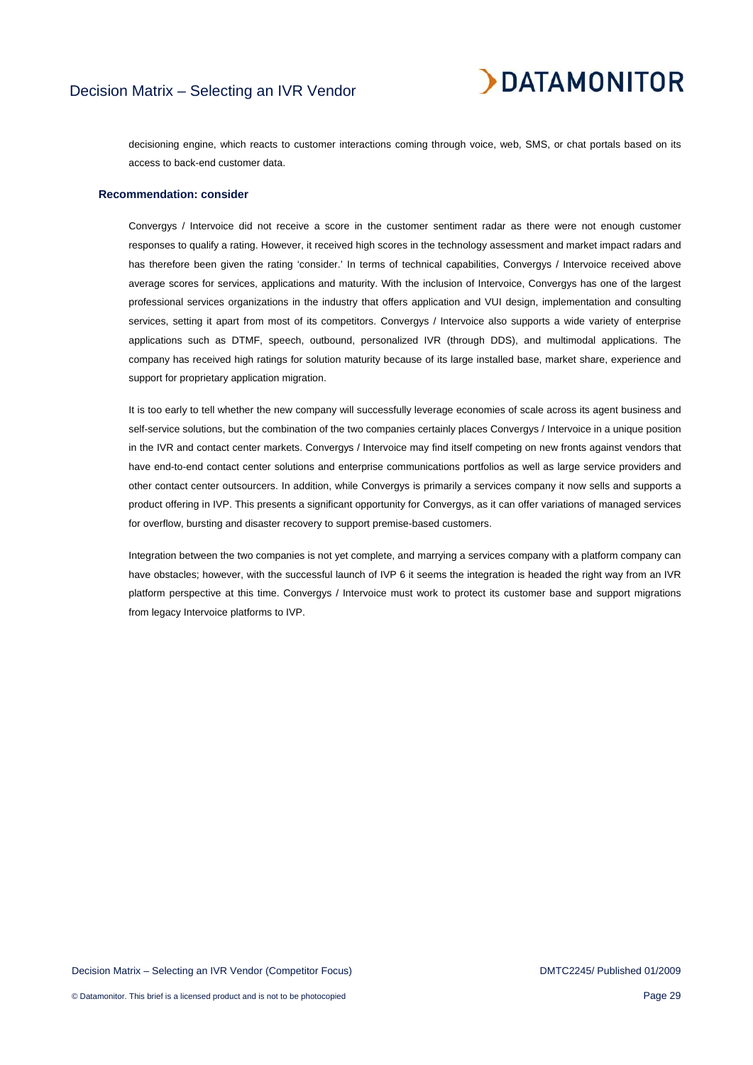decisioning engine, which reacts to customer interactions coming through voice, web, SMS, or chat portals based on its access to back-end customer data.

#### **Recommendation: consider**

Convergys / Intervoice did not receive a score in the customer sentiment radar as there were not enough customer responses to qualify a rating. However, it received high scores in the technology assessment and market impact radars and has therefore been given the rating 'consider.' In terms of technical capabilities, Convergys / Intervoice received above average scores for services, applications and maturity. With the inclusion of Intervoice, Convergys has one of the largest professional services organizations in the industry that offers application and VUI design, implementation and consulting services, setting it apart from most of its competitors. Convergys / Intervoice also supports a wide variety of enterprise applications such as DTMF, speech, outbound, personalized IVR (through DDS), and multimodal applications. The company has received high ratings for solution maturity because of its large installed base, market share, experience and support for proprietary application migration.

It is too early to tell whether the new company will successfully leverage economies of scale across its agent business and self-service solutions, but the combination of the two companies certainly places Convergys / Intervoice in a unique position in the IVR and contact center markets. Convergys / Intervoice may find itself competing on new fronts against vendors that have end-to-end contact center solutions and enterprise communications portfolios as well as large service providers and other contact center outsourcers. In addition, while Convergys is primarily a services company it now sells and supports a product offering in IVP. This presents a significant opportunity for Convergys, as it can offer variations of managed services for overflow, bursting and disaster recovery to support premise-based customers.

Integration between the two companies is not yet complete, and marrying a services company with a platform company can have obstacles; however, with the successful launch of IVP 6 it seems the integration is headed the right way from an IVR platform perspective at this time. Convergys / Intervoice must work to protect its customer base and support migrations from legacy Intervoice platforms to IVP.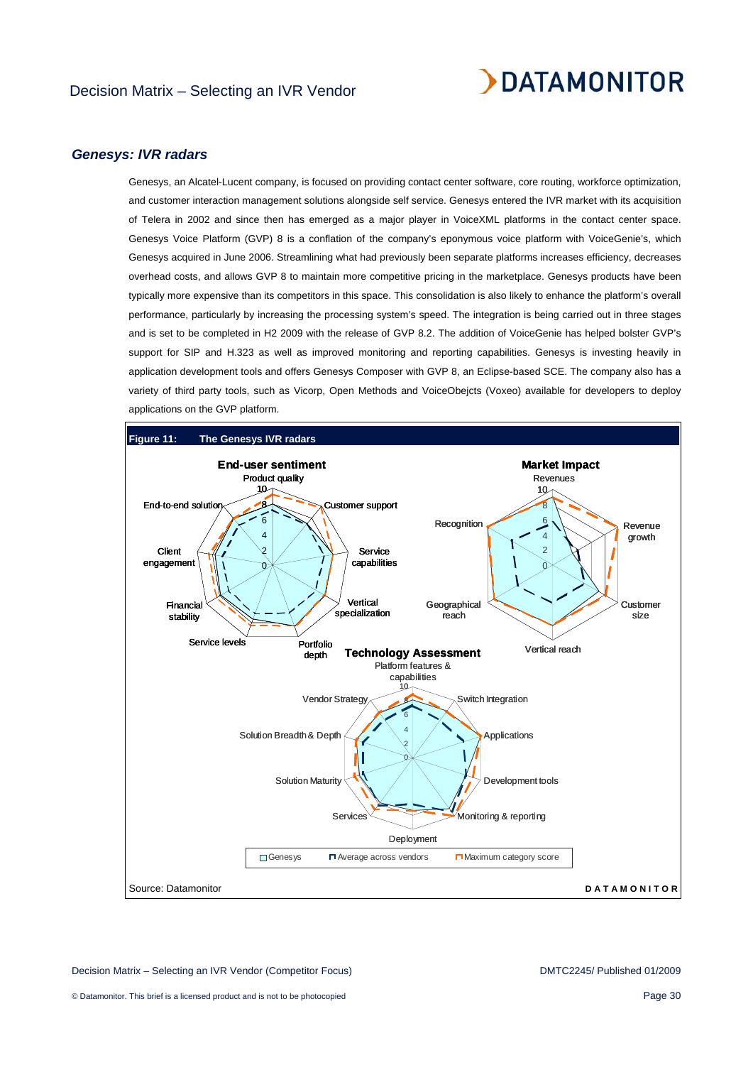### *Genesys: IVR radars*

Genesys, an Alcatel-Lucent company, is focused on providing contact center software, core routing, workforce optimization, and customer interaction management solutions alongside self service. Genesys entered the IVR market with its acquisition of Telera in 2002 and since then has emerged as a major player in VoiceXML platforms in the contact center space. Genesys Voice Platform (GVP) 8 is a conflation of the company's eponymous voice platform with VoiceGenie's, which Genesys acquired in June 2006. Streamlining what had previously been separate platforms increases efficiency, decreases overhead costs, and allows GVP 8 to maintain more competitive pricing in the marketplace. Genesys products have been typically more expensive than its competitors in this space. This consolidation is also likely to enhance the platform's overall performance, particularly by increasing the processing system's speed. The integration is being carried out in three stages and is set to be completed in H2 2009 with the release of GVP 8.2. The addition of VoiceGenie has helped bolster GVP's support for SIP and H.323 as well as improved monitoring and reporting capabilities. Genesys is investing heavily in application development tools and offers Genesys Composer with GVP 8, an Eclipse-based SCE. The company also has a variety of third party tools, such as Vicorp, Open Methods and VoiceObejcts (Voxeo) available for developers to deploy applications on the GVP platform.

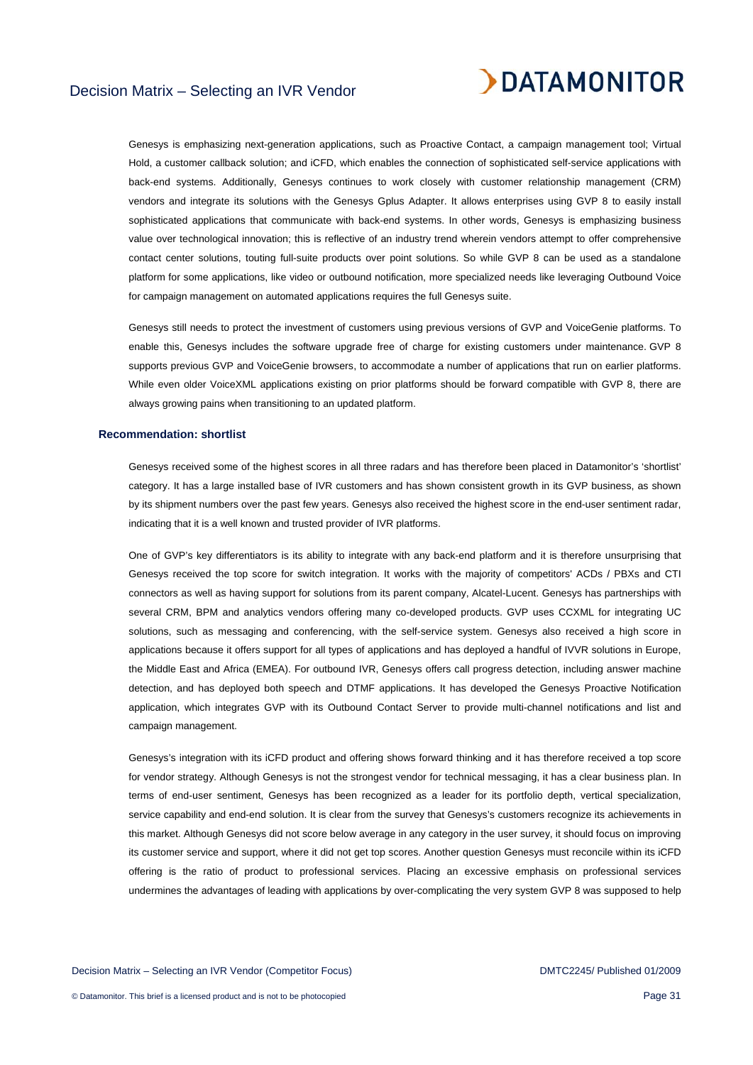## **DATAMONITOR**

Genesys is emphasizing next-generation applications, such as Proactive Contact, a campaign management tool; Virtual Hold, a customer callback solution; and iCFD, which enables the connection of sophisticated self-service applications with back-end systems. Additionally, Genesys continues to work closely with customer relationship management (CRM) vendors and integrate its solutions with the Genesys Gplus Adapter. It allows enterprises using GVP 8 to easily install sophisticated applications that communicate with back-end systems. In other words, Genesys is emphasizing business value over technological innovation; this is reflective of an industry trend wherein vendors attempt to offer comprehensive contact center solutions, touting full-suite products over point solutions. So while GVP 8 can be used as a standalone platform for some applications, like video or outbound notification, more specialized needs like leveraging Outbound Voice for campaign management on automated applications requires the full Genesys suite.

Genesys still needs to protect the investment of customers using previous versions of GVP and VoiceGenie platforms. To enable this, Genesys includes the software upgrade free of charge for existing customers under maintenance. GVP 8 supports previous GVP and VoiceGenie browsers, to accommodate a number of applications that run on earlier platforms. While even older VoiceXML applications existing on prior platforms should be forward compatible with GVP 8, there are always growing pains when transitioning to an updated platform.

#### **Recommendation: shortlist**

Genesys received some of the highest scores in all three radars and has therefore been placed in Datamonitor's 'shortlist' category. It has a large installed base of IVR customers and has shown consistent growth in its GVP business, as shown by its shipment numbers over the past few years. Genesys also received the highest score in the end-user sentiment radar, indicating that it is a well known and trusted provider of IVR platforms.

One of GVP's key differentiators is its ability to integrate with any back-end platform and it is therefore unsurprising that Genesys received the top score for switch integration. It works with the majority of competitors' ACDs / PBXs and CTI connectors as well as having support for solutions from its parent company, Alcatel-Lucent. Genesys has partnerships with several CRM, BPM and analytics vendors offering many co-developed products. GVP uses CCXML for integrating UC solutions, such as messaging and conferencing, with the self-service system. Genesys also received a high score in applications because it offers support for all types of applications and has deployed a handful of IVVR solutions in Europe, the Middle East and Africa (EMEA). For outbound IVR, Genesys offers call progress detection, including answer machine detection, and has deployed both speech and DTMF applications. It has developed the Genesys Proactive Notification application, which integrates GVP with its Outbound Contact Server to provide multi-channel notifications and list and campaign management.

Genesys's integration with its iCFD product and offering shows forward thinking and it has therefore received a top score for vendor strategy. Although Genesys is not the strongest vendor for technical messaging, it has a clear business plan. In terms of end-user sentiment, Genesys has been recognized as a leader for its portfolio depth, vertical specialization, service capability and end-end solution. It is clear from the survey that Genesys's customers recognize its achievements in this market. Although Genesys did not score below average in any category in the user survey, it should focus on improving its customer service and support, where it did not get top scores. Another question Genesys must reconcile within its iCFD offering is the ratio of product to professional services. Placing an excessive emphasis on professional services undermines the advantages of leading with applications by over-complicating the very system GVP 8 was supposed to help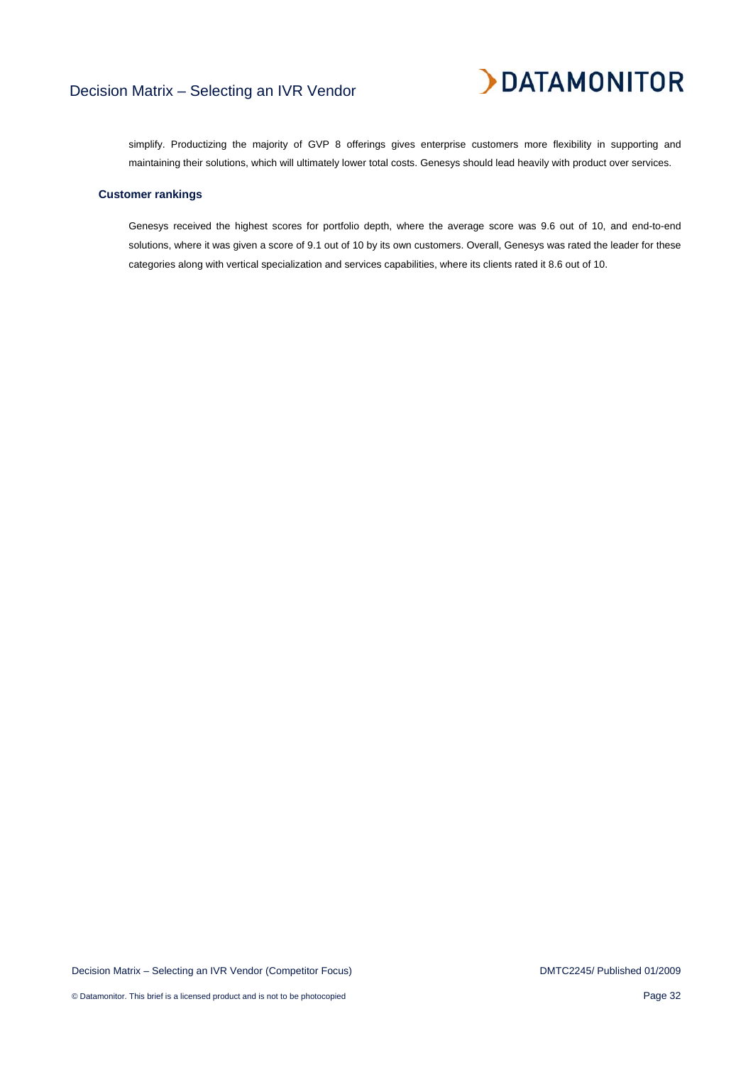

simplify. Productizing the majority of GVP 8 offerings gives enterprise customers more flexibility in supporting and maintaining their solutions, which will ultimately lower total costs. Genesys should lead heavily with product over services.

#### **Customer rankings**

Genesys received the highest scores for portfolio depth, where the average score was 9.6 out of 10, and end-to-end solutions, where it was given a score of 9.1 out of 10 by its own customers. Overall, Genesys was rated the leader for these categories along with vertical specialization and services capabilities, where its clients rated it 8.6 out of 10.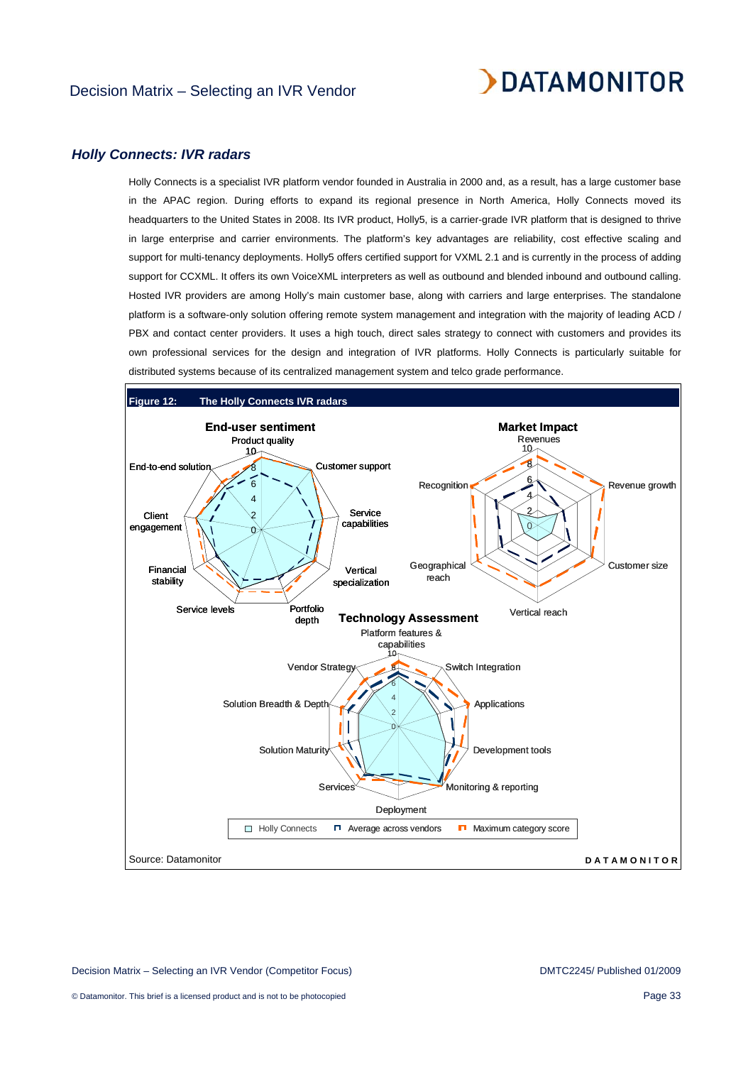## **DATAMONITOR**

### *Holly Connects: IVR radars*

Holly Connects is a specialist IVR platform vendor founded in Australia in 2000 and, as a result, has a large customer base in the APAC region. During efforts to expand its regional presence in North America, Holly Connects moved its headquarters to the United States in 2008. Its IVR product, Holly5, is a carrier-grade IVR platform that is designed to thrive in large enterprise and carrier environments. The platform's key advantages are reliability, cost effective scaling and support for multi-tenancy deployments. Holly5 offers certified support for VXML 2.1 and is currently in the process of adding support for CCXML. It offers its own VoiceXML interpreters as well as outbound and blended inbound and outbound calling. Hosted IVR providers are among Holly's main customer base, along with carriers and large enterprises. The standalone platform is a software-only solution offering remote system management and integration with the majority of leading ACD / PBX and contact center providers. It uses a high touch, direct sales strategy to connect with customers and provides its own professional services for the design and integration of IVR platforms. Holly Connects is particularly suitable for distributed systems because of its centralized management system and telco grade performance.



Decision Matrix – Selecting an IVR Vendor (Competitor Focus) DMTC2245/ Published 01/2009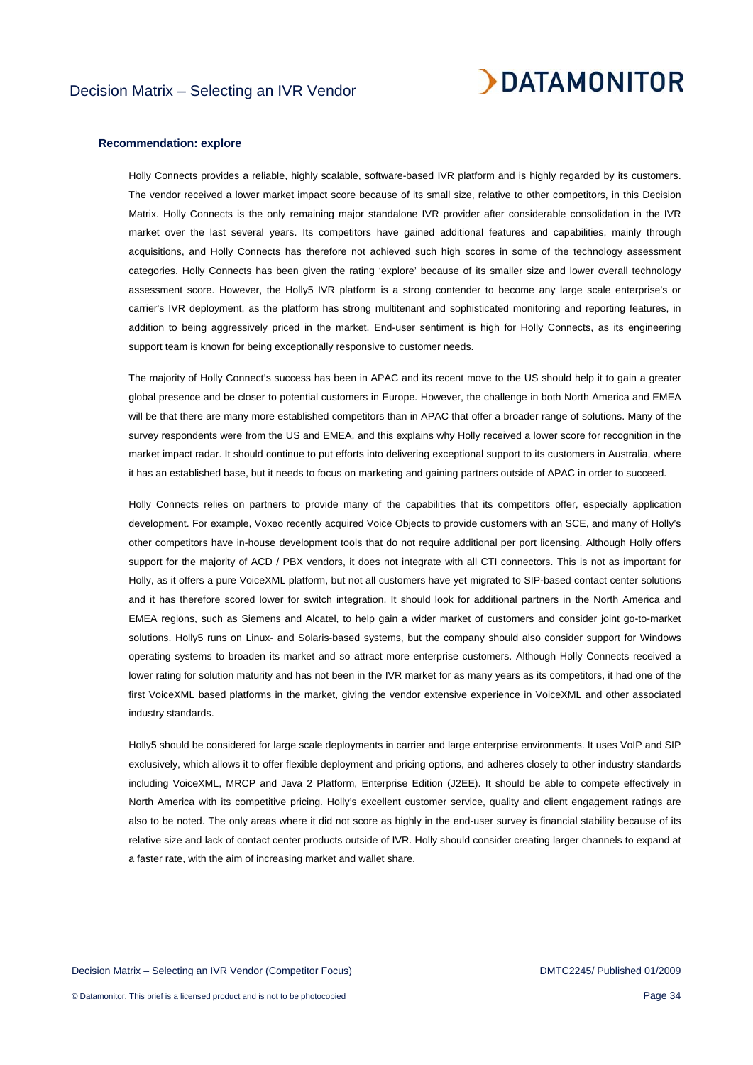## **DATAMONITOR**

#### **Recommendation: explore**

Holly Connects provides a reliable, highly scalable, software-based IVR platform and is highly regarded by its customers. The vendor received a lower market impact score because of its small size, relative to other competitors, in this Decision Matrix. Holly Connects is the only remaining major standalone IVR provider after considerable consolidation in the IVR market over the last several years. Its competitors have gained additional features and capabilities, mainly through acquisitions, and Holly Connects has therefore not achieved such high scores in some of the technology assessment categories. Holly Connects has been given the rating 'explore' because of its smaller size and lower overall technology assessment score. However, the Holly5 IVR platform is a strong contender to become any large scale enterprise's or carrier's IVR deployment, as the platform has strong multitenant and sophisticated monitoring and reporting features, in addition to being aggressively priced in the market. End-user sentiment is high for Holly Connects, as its engineering support team is known for being exceptionally responsive to customer needs.

The majority of Holly Connect's success has been in APAC and its recent move to the US should help it to gain a greater global presence and be closer to potential customers in Europe. However, the challenge in both North America and EMEA will be that there are many more established competitors than in APAC that offer a broader range of solutions. Many of the survey respondents were from the US and EMEA, and this explains why Holly received a lower score for recognition in the market impact radar. It should continue to put efforts into delivering exceptional support to its customers in Australia, where it has an established base, but it needs to focus on marketing and gaining partners outside of APAC in order to succeed.

Holly Connects relies on partners to provide many of the capabilities that its competitors offer, especially application development. For example, Voxeo recently acquired Voice Objects to provide customers with an SCE, and many of Holly's other competitors have in-house development tools that do not require additional per port licensing. Although Holly offers support for the majority of ACD / PBX vendors, it does not integrate with all CTI connectors. This is not as important for Holly, as it offers a pure VoiceXML platform, but not all customers have yet migrated to SIP-based contact center solutions and it has therefore scored lower for switch integration. It should look for additional partners in the North America and EMEA regions, such as Siemens and Alcatel, to help gain a wider market of customers and consider joint go-to-market solutions. Holly5 runs on Linux- and Solaris-based systems, but the company should also consider support for Windows operating systems to broaden its market and so attract more enterprise customers. Although Holly Connects received a lower rating for solution maturity and has not been in the IVR market for as many years as its competitors, it had one of the first VoiceXML based platforms in the market, giving the vendor extensive experience in VoiceXML and other associated industry standards.

Holly5 should be considered for large scale deployments in carrier and large enterprise environments. It uses VoIP and SIP exclusively, which allows it to offer flexible deployment and pricing options, and adheres closely to other industry standards including VoiceXML, MRCP and Java 2 Platform, Enterprise Edition (J2EE). It should be able to compete effectively in North America with its competitive pricing. Holly's excellent customer service, quality and client engagement ratings are also to be noted. The only areas where it did not score as highly in the end-user survey is financial stability because of its relative size and lack of contact center products outside of IVR. Holly should consider creating larger channels to expand at a faster rate, with the aim of increasing market and wallet share.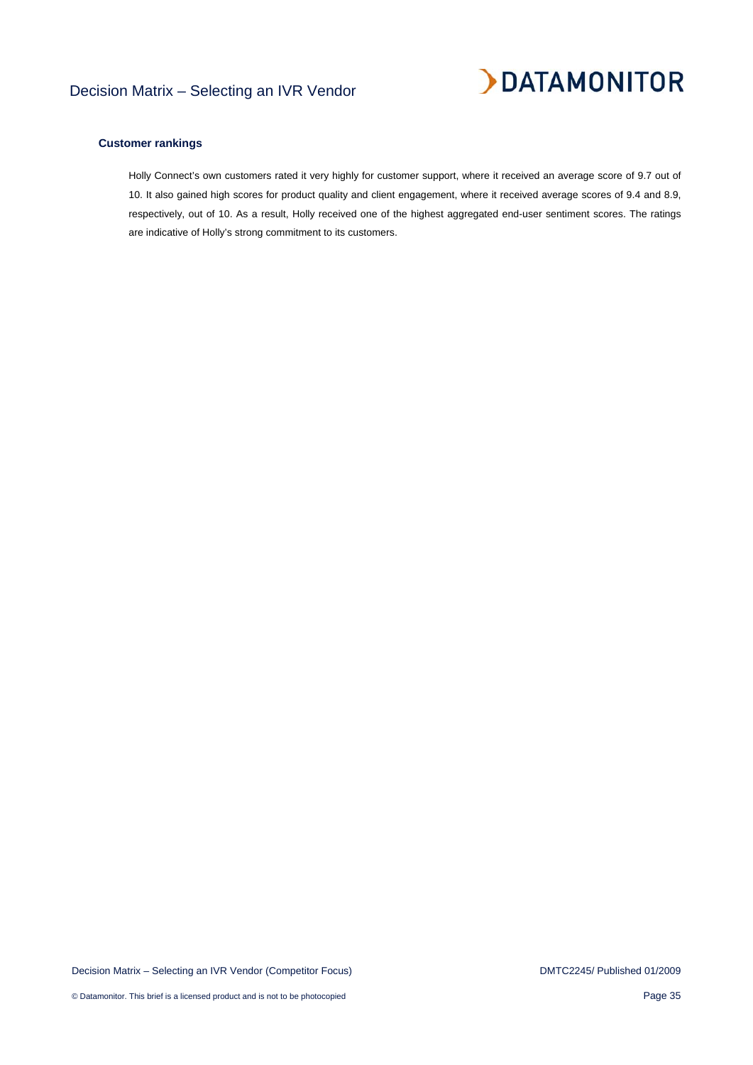

#### **Customer rankings**

Holly Connect's own customers rated it very highly for customer support, where it received an average score of 9.7 out of 10. It also gained high scores for product quality and client engagement, where it received average scores of 9.4 and 8.9, respectively, out of 10. As a result, Holly received one of the highest aggregated end-user sentiment scores. The ratings are indicative of Holly's strong commitment to its customers.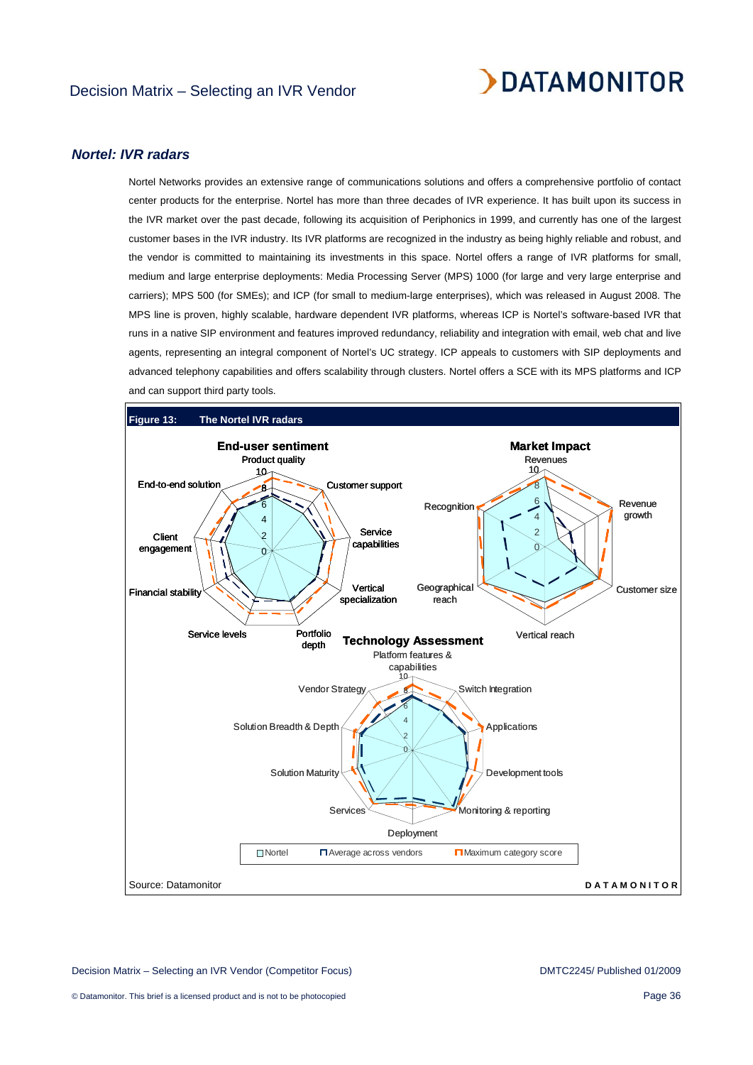### *Nortel: IVR radars*

Nortel Networks provides an extensive range of communications solutions and offers a comprehensive portfolio of contact center products for the enterprise. Nortel has more than three decades of IVR experience. It has built upon its success in the IVR market over the past decade, following its acquisition of Periphonics in 1999, and currently has one of the largest customer bases in the IVR industry. Its IVR platforms are recognized in the industry as being highly reliable and robust, and the vendor is committed to maintaining its investments in this space. Nortel offers a range of IVR platforms for small, medium and large enterprise deployments: Media Processing Server (MPS) 1000 (for large and very large enterprise and carriers); MPS 500 (for SMEs); and ICP (for small to medium-large enterprises), which was released in August 2008. The MPS line is proven, highly scalable, hardware dependent IVR platforms, whereas ICP is Nortel's software-based IVR that runs in a native SIP environment and features improved redundancy, reliability and integration with email, web chat and live agents, representing an integral component of Nortel's UC strategy. ICP appeals to customers with SIP deployments and advanced telephony capabilities and offers scalability through clusters. Nortel offers a SCE with its MPS platforms and ICP and can support third party tools.

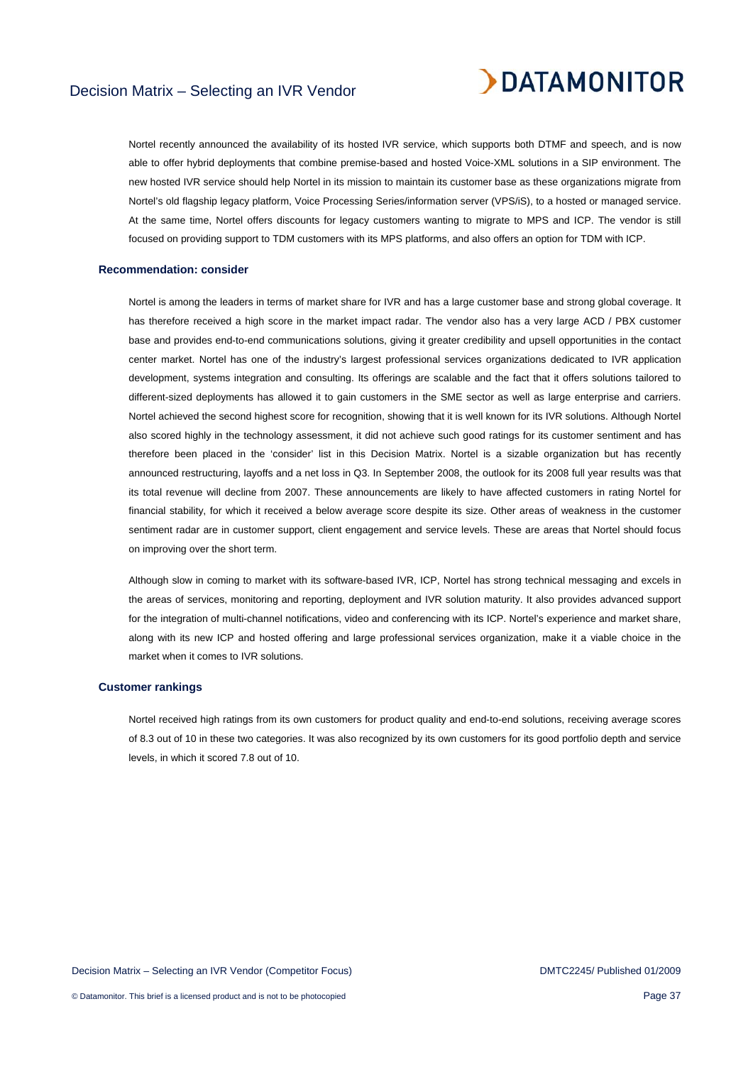Nortel recently announced the availability of its hosted IVR service, which supports both DTMF and speech, and is now able to offer hybrid deployments that combine premise-based and hosted Voice-XML solutions in a SIP environment. The new hosted IVR service should help Nortel in its mission to maintain its customer base as these organizations migrate from Nortel's old flagship legacy platform, Voice Processing Series/information server (VPS/iS), to a hosted or managed service. At the same time, Nortel offers discounts for legacy customers wanting to migrate to MPS and ICP. The vendor is still focused on providing support to TDM customers with its MPS platforms, and also offers an option for TDM with ICP.

#### **Recommendation: consider**

Nortel is among the leaders in terms of market share for IVR and has a large customer base and strong global coverage. It has therefore received a high score in the market impact radar. The vendor also has a very large ACD / PBX customer base and provides end-to-end communications solutions, giving it greater credibility and upsell opportunities in the contact center market. Nortel has one of the industry's largest professional services organizations dedicated to IVR application development, systems integration and consulting. Its offerings are scalable and the fact that it offers solutions tailored to different-sized deployments has allowed it to gain customers in the SME sector as well as large enterprise and carriers. Nortel achieved the second highest score for recognition, showing that it is well known for its IVR solutions. Although Nortel also scored highly in the technology assessment, it did not achieve such good ratings for its customer sentiment and has therefore been placed in the 'consider' list in this Decision Matrix. Nortel is a sizable organization but has recently announced restructuring, layoffs and a net loss in Q3. In September 2008, the outlook for its 2008 full year results was that its total revenue will decline from 2007. These announcements are likely to have affected customers in rating Nortel for financial stability, for which it received a below average score despite its size. Other areas of weakness in the customer sentiment radar are in customer support, client engagement and service levels. These are areas that Nortel should focus on improving over the short term.

Although slow in coming to market with its software-based IVR, ICP, Nortel has strong technical messaging and excels in the areas of services, monitoring and reporting, deployment and IVR solution maturity. It also provides advanced support for the integration of multi-channel notifications, video and conferencing with its ICP. Nortel's experience and market share, along with its new ICP and hosted offering and large professional services organization, make it a viable choice in the market when it comes to IVR solutions.

#### **Customer rankings**

Nortel received high ratings from its own customers for product quality and end-to-end solutions, receiving average scores of 8.3 out of 10 in these two categories. It was also recognized by its own customers for its good portfolio depth and service levels, in which it scored 7.8 out of 10.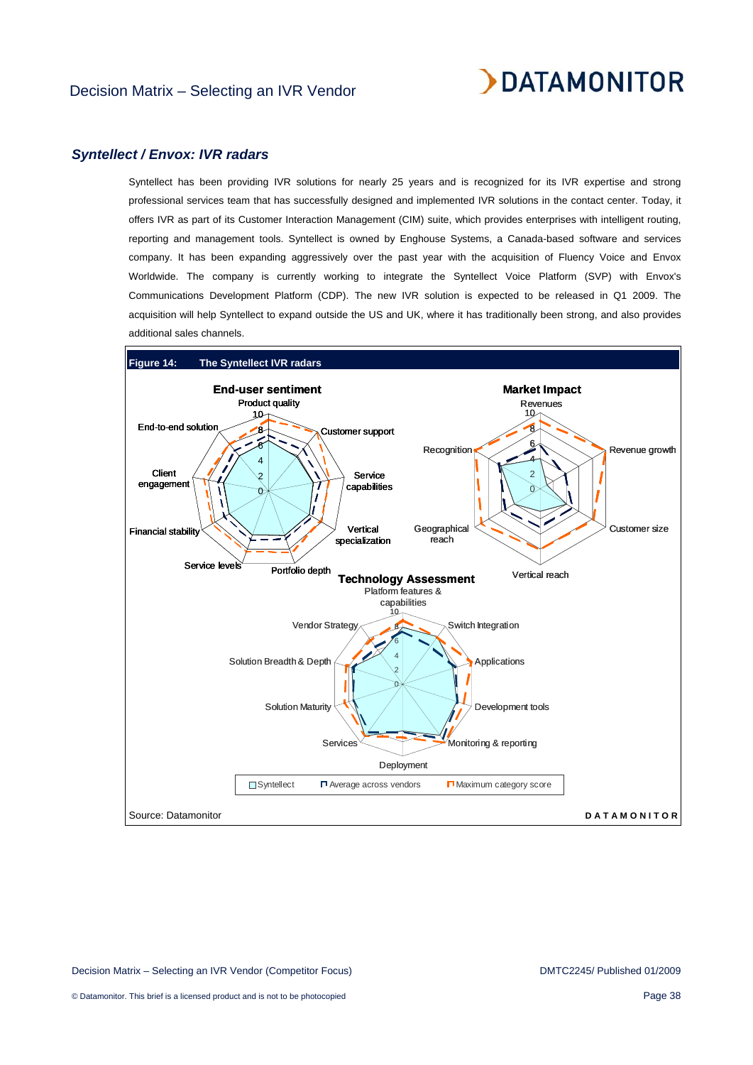### *Syntellect / Envox: IVR radars*

Syntellect has been providing IVR solutions for nearly 25 years and is recognized for its IVR expertise and strong professional services team that has successfully designed and implemented IVR solutions in the contact center. Today, it offers IVR as part of its Customer Interaction Management (CIM) suite, which provides enterprises with intelligent routing, reporting and management tools. Syntellect is owned by Enghouse Systems, a Canada-based software and services company. It has been expanding aggressively over the past year with the acquisition of Fluency Voice and Envox Worldwide. The company is currently working to integrate the Syntellect Voice Platform (SVP) with Envox's Communications Development Platform (CDP). The new IVR solution is expected to be released in Q1 2009. The acquisition will help Syntellect to expand outside the US and UK, where it has traditionally been strong, and also provides additional sales channels.

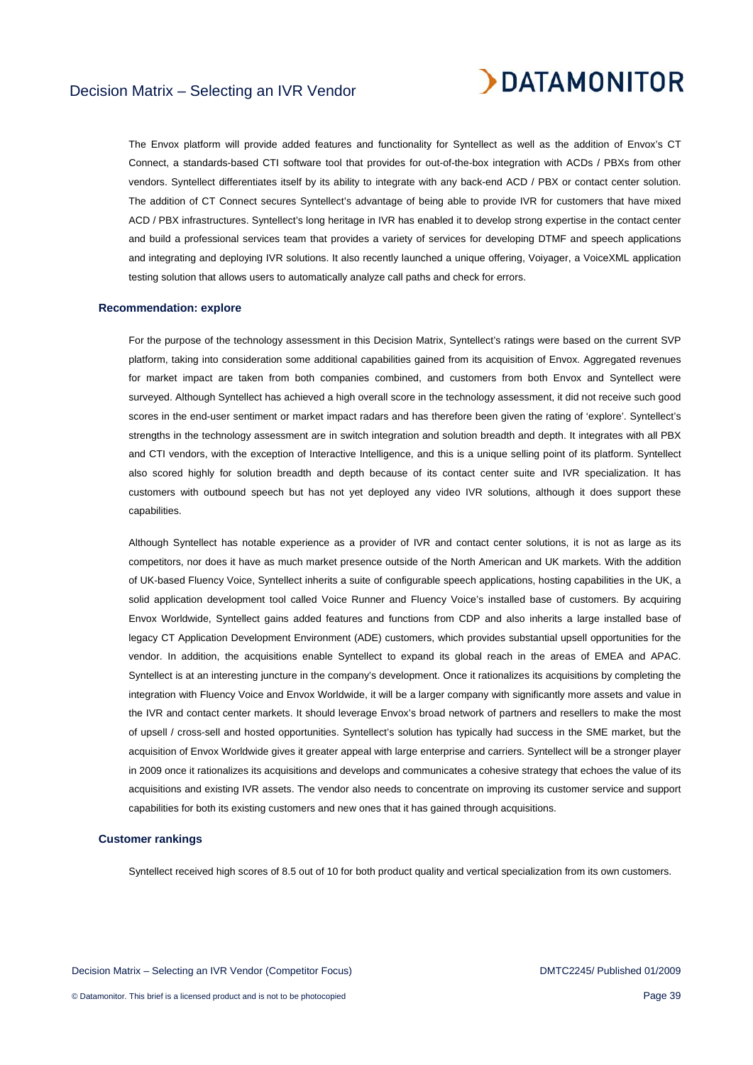## **DATAMONITOR**

The Envox platform will provide added features and functionality for Syntellect as well as the addition of Envox's CT Connect, a standards-based CTI software tool that provides for out-of-the-box integration with ACDs / PBXs from other vendors. Syntellect differentiates itself by its ability to integrate with any back-end ACD / PBX or contact center solution. The addition of CT Connect secures Syntellect's advantage of being able to provide IVR for customers that have mixed ACD / PBX infrastructures. Syntellect's long heritage in IVR has enabled it to develop strong expertise in the contact center and build a professional services team that provides a variety of services for developing DTMF and speech applications and integrating and deploying IVR solutions. It also recently launched a unique offering, Voiyager, a VoiceXML application testing solution that allows users to automatically analyze call paths and check for errors.

#### **Recommendation: explore**

For the purpose of the technology assessment in this Decision Matrix, Syntellect's ratings were based on the current SVP platform, taking into consideration some additional capabilities gained from its acquisition of Envox. Aggregated revenues for market impact are taken from both companies combined, and customers from both Envox and Syntellect were surveyed. Although Syntellect has achieved a high overall score in the technology assessment, it did not receive such good scores in the end-user sentiment or market impact radars and has therefore been given the rating of 'explore'. Syntellect's strengths in the technology assessment are in switch integration and solution breadth and depth. It integrates with all PBX and CTI vendors, with the exception of Interactive Intelligence, and this is a unique selling point of its platform. Syntellect also scored highly for solution breadth and depth because of its contact center suite and IVR specialization. It has customers with outbound speech but has not yet deployed any video IVR solutions, although it does support these capabilities.

Although Syntellect has notable experience as a provider of IVR and contact center solutions, it is not as large as its competitors, nor does it have as much market presence outside of the North American and UK markets. With the addition of UK-based Fluency Voice, Syntellect inherits a suite of configurable speech applications, hosting capabilities in the UK, a solid application development tool called Voice Runner and Fluency Voice's installed base of customers. By acquiring Envox Worldwide, Syntellect gains added features and functions from CDP and also inherits a large installed base of legacy CT Application Development Environment (ADE) customers, which provides substantial upsell opportunities for the vendor. In addition, the acquisitions enable Syntellect to expand its global reach in the areas of EMEA and APAC. Syntellect is at an interesting juncture in the company's development. Once it rationalizes its acquisitions by completing the integration with Fluency Voice and Envox Worldwide, it will be a larger company with significantly more assets and value in the IVR and contact center markets. It should leverage Envox's broad network of partners and resellers to make the most of upsell / cross-sell and hosted opportunities. Syntellect's solution has typically had success in the SME market, but the acquisition of Envox Worldwide gives it greater appeal with large enterprise and carriers. Syntellect will be a stronger player in 2009 once it rationalizes its acquisitions and develops and communicates a cohesive strategy that echoes the value of its acquisitions and existing IVR assets. The vendor also needs to concentrate on improving its customer service and support capabilities for both its existing customers and new ones that it has gained through acquisitions.

#### **Customer rankings**

Syntellect received high scores of 8.5 out of 10 for both product quality and vertical specialization from its own customers.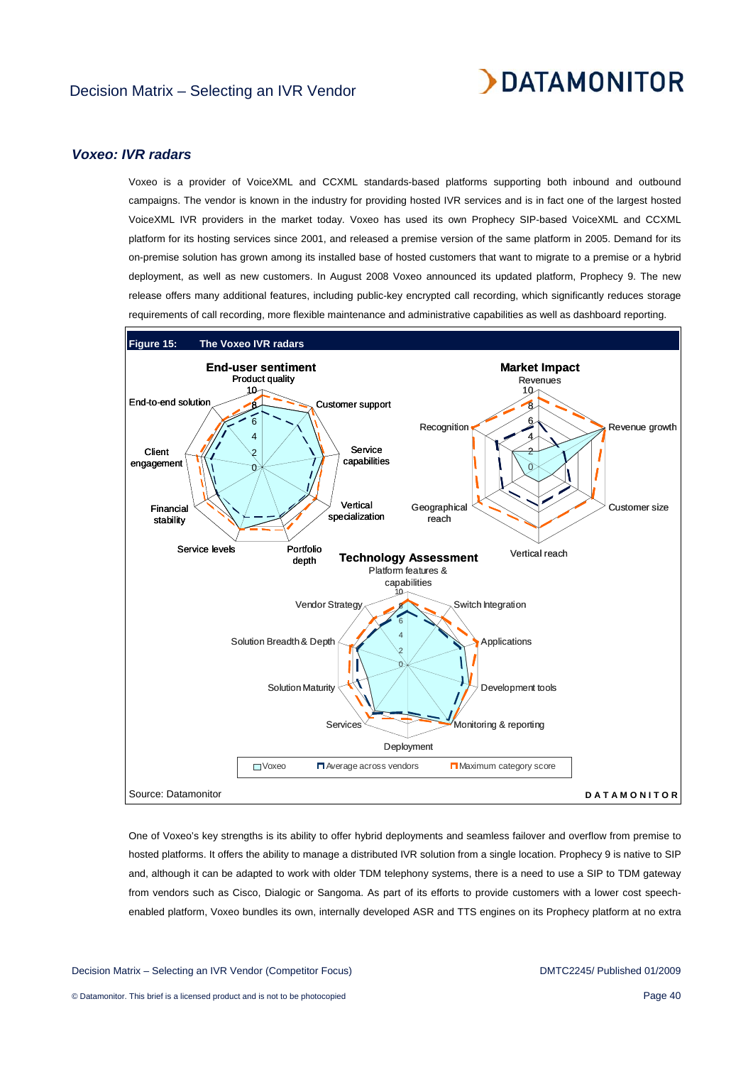## **DATAMONITOR**

#### *Voxeo: IVR radars*

Voxeo is a provider of VoiceXML and CCXML standards-based platforms supporting both inbound and outbound campaigns. The vendor is known in the industry for providing hosted IVR services and is in fact one of the largest hosted VoiceXML IVR providers in the market today. Voxeo has used its own Prophecy SIP-based VoiceXML and CCXML platform for its hosting services since 2001, and released a premise version of the same platform in 2005. Demand for its on-premise solution has grown among its installed base of hosted customers that want to migrate to a premise or a hybrid deployment, as well as new customers. In August 2008 Voxeo announced its updated platform, Prophecy 9. The new release offers many additional features, including public-key encrypted call recording, which significantly reduces storage requirements of call recording, more flexible maintenance and administrative capabilities as well as dashboard reporting.



One of Voxeo's key strengths is its ability to offer hybrid deployments and seamless failover and overflow from premise to hosted platforms. It offers the ability to manage a distributed IVR solution from a single location. Prophecy 9 is native to SIP and, although it can be adapted to work with older TDM telephony systems, there is a need to use a SIP to TDM gateway from vendors such as Cisco, Dialogic or Sangoma. As part of its efforts to provide customers with a lower cost speechenabled platform, Voxeo bundles its own, internally developed ASR and TTS engines on its Prophecy platform at no extra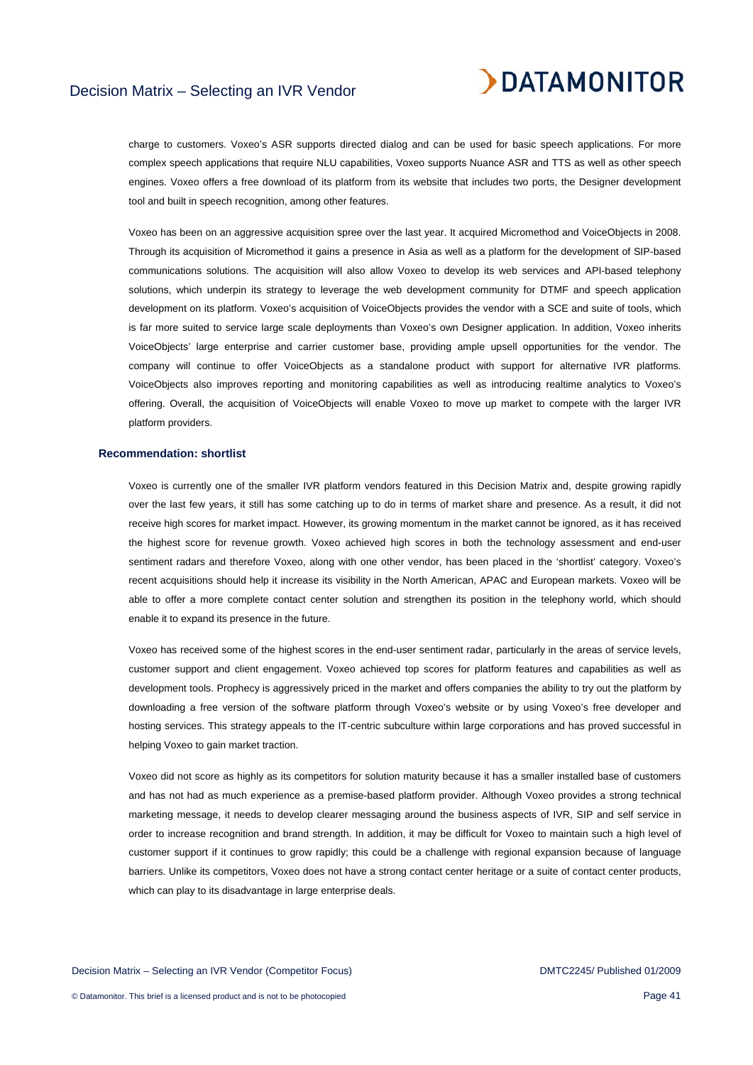## **DATAMONITOR**

charge to customers. Voxeo's ASR supports directed dialog and can be used for basic speech applications. For more complex speech applications that require NLU capabilities, Voxeo supports Nuance ASR and TTS as well as other speech engines. Voxeo offers a free download of its platform from its website that includes two ports, the Designer development tool and built in speech recognition, among other features.

Voxeo has been on an aggressive acquisition spree over the last year. It acquired Micromethod and VoiceObjects in 2008. Through its acquisition of Micromethod it gains a presence in Asia as well as a platform for the development of SIP-based communications solutions. The acquisition will also allow Voxeo to develop its web services and API-based telephony solutions, which underpin its strategy to leverage the web development community for DTMF and speech application development on its platform. Voxeo's acquisition of VoiceObjects provides the vendor with a SCE and suite of tools, which is far more suited to service large scale deployments than Voxeo's own Designer application. In addition, Voxeo inherits VoiceObjects' large enterprise and carrier customer base, providing ample upsell opportunities for the vendor. The company will continue to offer VoiceObjects as a standalone product with support for alternative IVR platforms. VoiceObjects also improves reporting and monitoring capabilities as well as introducing realtime analytics to Voxeo's offering. Overall, the acquisition of VoiceObjects will enable Voxeo to move up market to compete with the larger IVR platform providers.

#### **Recommendation: shortlist**

Voxeo is currently one of the smaller IVR platform vendors featured in this Decision Matrix and, despite growing rapidly over the last few years, it still has some catching up to do in terms of market share and presence. As a result, it did not receive high scores for market impact. However, its growing momentum in the market cannot be ignored, as it has received the highest score for revenue growth. Voxeo achieved high scores in both the technology assessment and end-user sentiment radars and therefore Voxeo, along with one other vendor, has been placed in the 'shortlist' category. Voxeo's recent acquisitions should help it increase its visibility in the North American, APAC and European markets. Voxeo will be able to offer a more complete contact center solution and strengthen its position in the telephony world, which should enable it to expand its presence in the future.

Voxeo has received some of the highest scores in the end-user sentiment radar, particularly in the areas of service levels, customer support and client engagement. Voxeo achieved top scores for platform features and capabilities as well as development tools. Prophecy is aggressively priced in the market and offers companies the ability to try out the platform by downloading a free version of the software platform through Voxeo's website or by using Voxeo's free developer and hosting services. This strategy appeals to the IT-centric subculture within large corporations and has proved successful in helping Voxeo to gain market traction.

Voxeo did not score as highly as its competitors for solution maturity because it has a smaller installed base of customers and has not had as much experience as a premise-based platform provider. Although Voxeo provides a strong technical marketing message, it needs to develop clearer messaging around the business aspects of IVR, SIP and self service in order to increase recognition and brand strength. In addition, it may be difficult for Voxeo to maintain such a high level of customer support if it continues to grow rapidly; this could be a challenge with regional expansion because of language barriers. Unlike its competitors, Voxeo does not have a strong contact center heritage or a suite of contact center products, which can play to its disadvantage in large enterprise deals.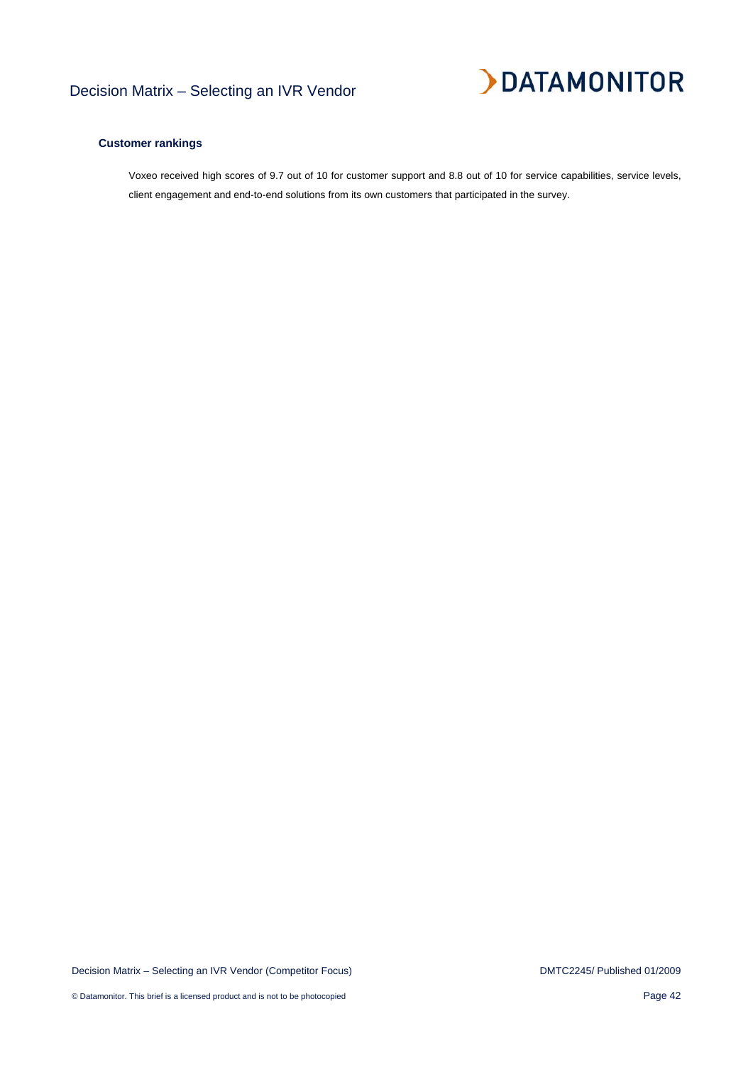

#### **Customer rankings**

Voxeo received high scores of 9.7 out of 10 for customer support and 8.8 out of 10 for service capabilities, service levels, client engagement and end-to-end solutions from its own customers that participated in the survey.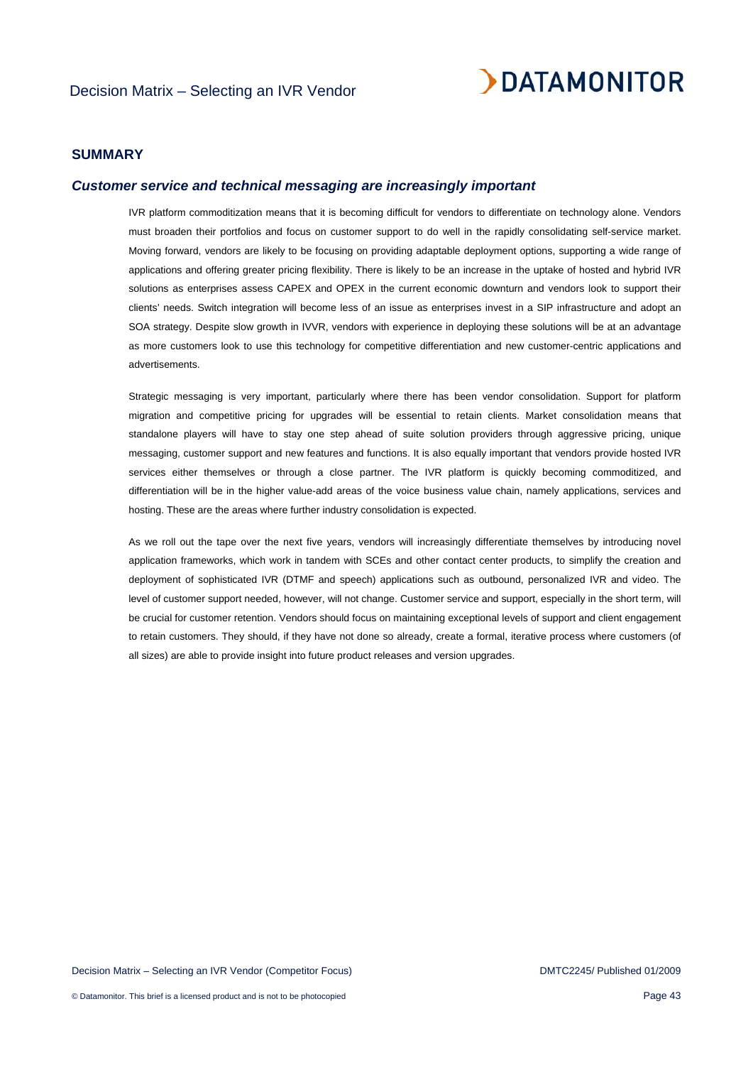

### **SUMMARY**

#### *Customer service and technical messaging are increasingly important*

IVR platform commoditization means that it is becoming difficult for vendors to differentiate on technology alone. Vendors must broaden their portfolios and focus on customer support to do well in the rapidly consolidating self-service market. Moving forward, vendors are likely to be focusing on providing adaptable deployment options, supporting a wide range of applications and offering greater pricing flexibility. There is likely to be an increase in the uptake of hosted and hybrid IVR solutions as enterprises assess CAPEX and OPEX in the current economic downturn and vendors look to support their clients' needs. Switch integration will become less of an issue as enterprises invest in a SIP infrastructure and adopt an SOA strategy. Despite slow growth in IVVR, vendors with experience in deploying these solutions will be at an advantage as more customers look to use this technology for competitive differentiation and new customer-centric applications and advertisements.

Strategic messaging is very important, particularly where there has been vendor consolidation. Support for platform migration and competitive pricing for upgrades will be essential to retain clients. Market consolidation means that standalone players will have to stay one step ahead of suite solution providers through aggressive pricing, unique messaging, customer support and new features and functions. It is also equally important that vendors provide hosted IVR services either themselves or through a close partner. The IVR platform is quickly becoming commoditized, and differentiation will be in the higher value-add areas of the voice business value chain, namely applications, services and hosting. These are the areas where further industry consolidation is expected.

As we roll out the tape over the next five years, vendors will increasingly differentiate themselves by introducing novel application frameworks, which work in tandem with SCEs and other contact center products, to simplify the creation and deployment of sophisticated IVR (DTMF and speech) applications such as outbound, personalized IVR and video. The level of customer support needed, however, will not change. Customer service and support, especially in the short term, will be crucial for customer retention. Vendors should focus on maintaining exceptional levels of support and client engagement to retain customers. They should, if they have not done so already, create a formal, iterative process where customers (of all sizes) are able to provide insight into future product releases and version upgrades.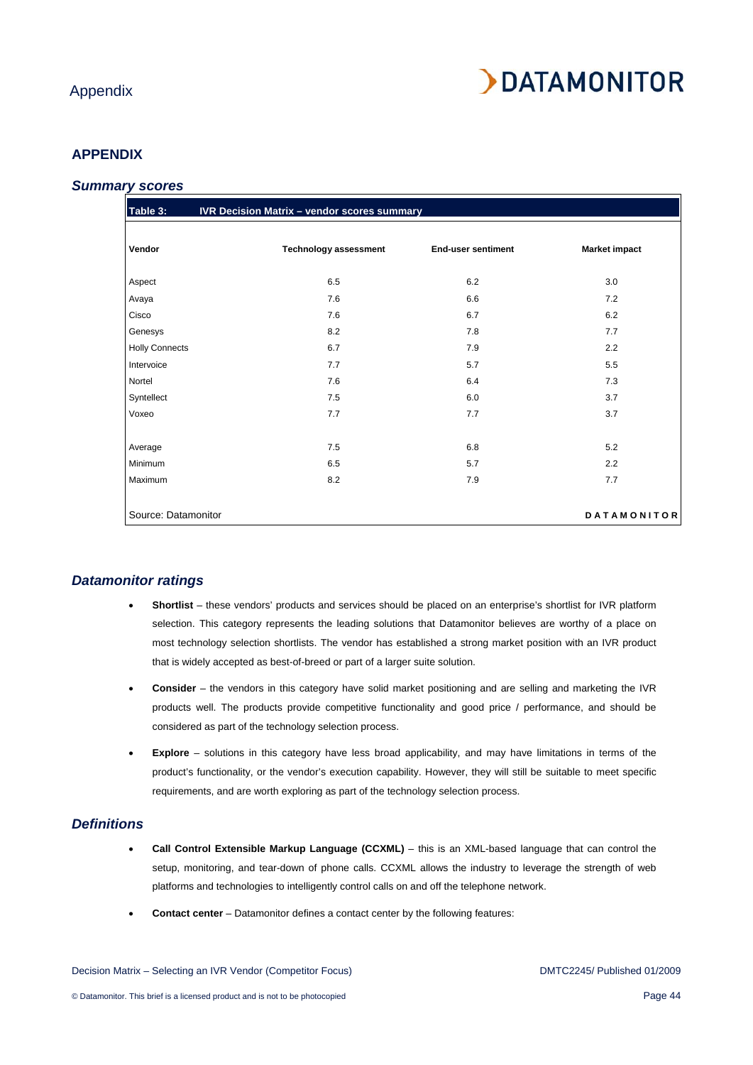# **DATAMONITOR**

## **APPENDIX**

### *Summary scores*

| Table 3:              | <b>IVR Decision Matrix - vendor scores summary</b> |                           |                      |  |
|-----------------------|----------------------------------------------------|---------------------------|----------------------|--|
| Vendor                | <b>Technology assessment</b>                       | <b>End-user sentiment</b> | <b>Market impact</b> |  |
| Aspect                | 6.5                                                | 6.2                       | 3.0                  |  |
| Avaya                 | 7.6                                                | 6.6                       | 7.2                  |  |
| Cisco                 | 7.6                                                | 6.7                       | 6.2                  |  |
| Genesys               | 8.2                                                | 7.8                       | 7.7                  |  |
| <b>Holly Connects</b> | 6.7                                                | 7.9                       | 2.2                  |  |
| Intervoice            | 7.7                                                | 5.7                       | 5.5                  |  |
| Nortel                | 7.6                                                | 6.4                       | 7.3                  |  |
| Syntellect            | 7.5                                                | 6.0                       | 3.7                  |  |
| Voxeo                 | 7.7                                                | 7.7                       | 3.7                  |  |
| Average               | 7.5                                                | 6.8                       | 5.2                  |  |
| Minimum               | 6.5                                                | 5.7                       | 2.2                  |  |
| Maximum               | 8.2                                                | 7.9                       | 7.7                  |  |
| Source: Datamonitor   |                                                    |                           | <b>DATAMONITOR</b>   |  |

### *Datamonitor ratings*

- **Shortlist**  these vendors' products and services should be placed on an enterprise's shortlist for IVR platform selection. This category represents the leading solutions that Datamonitor believes are worthy of a place on most technology selection shortlists. The vendor has established a strong market position with an IVR product that is widely accepted as best-of-breed or part of a larger suite solution.
- **Consider** the vendors in this category have solid market positioning and are selling and marketing the IVR products well. The products provide competitive functionality and good price / performance, and should be considered as part of the technology selection process.
- **Explore** solutions in this category have less broad applicability, and may have limitations in terms of the product's functionality, or the vendor's execution capability. However, they will still be suitable to meet specific requirements, and are worth exploring as part of the technology selection process.

### *Definitions*

- **Call Control Extensible Markup Language (CCXML)** this is an XML-based language that can control the setup, monitoring, and tear-down of phone calls. CCXML allows the industry to leverage the strength of web platforms and technologies to intelligently control calls on and off the telephone network.
- **Contact center** Datamonitor defines a contact center by the following features: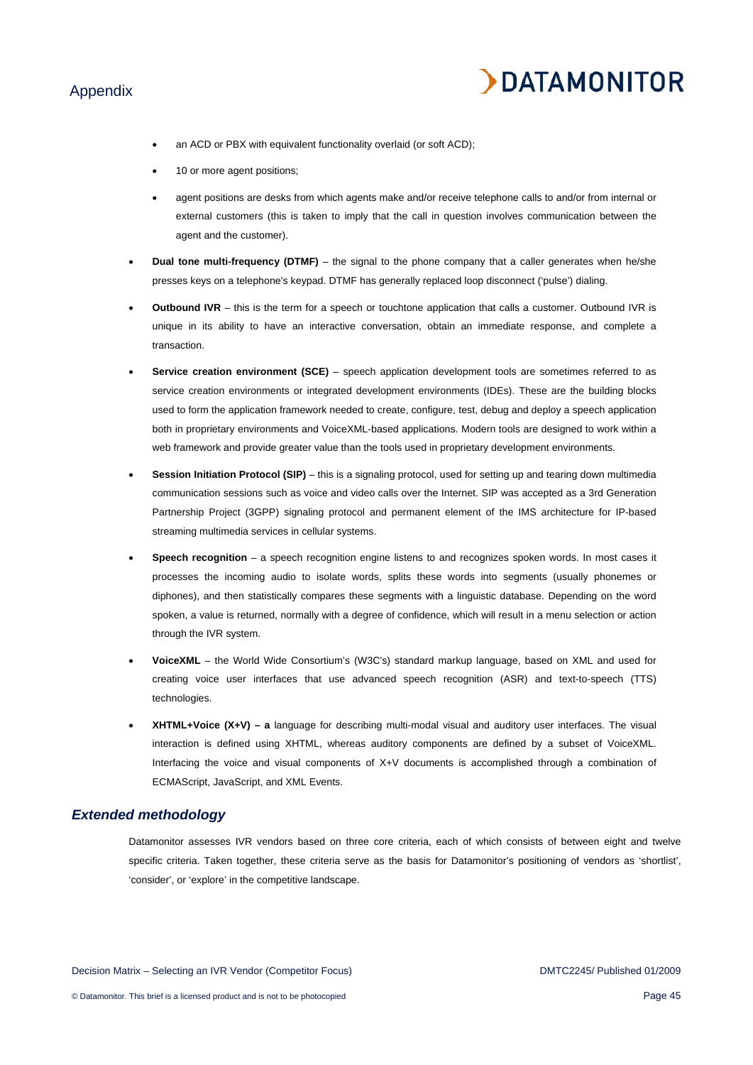- an ACD or PBX with equivalent functionality overlaid (or soft ACD);
- 10 or more agent positions;
- agent positions are desks from which agents make and/or receive telephone calls to and/or from internal or external customers (this is taken to imply that the call in question involves communication between the agent and the customer).
- **Dual tone multi-frequency (DTMF)** the signal to the phone company that a caller generates when he/she presses keys on a telephone's keypad. DTMF has generally replaced loop disconnect ('pulse') dialing.
- **Outbound IVR** this is the term for a speech or touchtone application that calls a customer. Outbound IVR is unique in its ability to have an interactive conversation, obtain an immediate response, and complete a transaction.
- **Service creation environment (SCE)**  speech application development tools are sometimes referred to as service creation environments or integrated development environments (IDEs). These are the building blocks used to form the application framework needed to create, configure, test, debug and deploy a speech application both in proprietary environments and VoiceXML-based applications. Modern tools are designed to work within a web framework and provide greater value than the tools used in proprietary development environments.
- **Session Initiation Protocol (SIP)** this is a signaling protocol, used for setting up and tearing down multimedia communication sessions such as voice and video calls over the Internet. SIP was accepted as a 3rd Generation Partnership Project (3GPP) signaling protocol and permanent element of the IMS architecture for IP-based streaming multimedia services in cellular systems.
- **Speech recognition** a speech recognition engine listens to and recognizes spoken words. In most cases it processes the incoming audio to isolate words, splits these words into segments (usually phonemes or diphones), and then statistically compares these segments with a linguistic database. Depending on the word spoken, a value is returned, normally with a degree of confidence, which will result in a menu selection or action through the IVR system.
- **VoiceXML** the World Wide Consortium's (W3C's) standard markup language, based on XML and used for creating voice user interfaces that use advanced speech recognition (ASR) and text-to-speech (TTS) technologies.
- **XHTML+Voice (X+V) a** language for describing multi-modal visual and auditory user interfaces. The visual interaction is defined using XHTML, whereas auditory components are defined by a subset of VoiceXML. Interfacing the voice and visual components of X+V documents is accomplished through a combination of ECMAScript, JavaScript, and XML Events.

#### *Extended methodology*

Datamonitor assesses IVR vendors based on three core criteria, each of which consists of between eight and twelve specific criteria. Taken together, these criteria serve as the basis for Datamonitor's positioning of vendors as 'shortlist', 'consider', or 'explore' in the competitive landscape.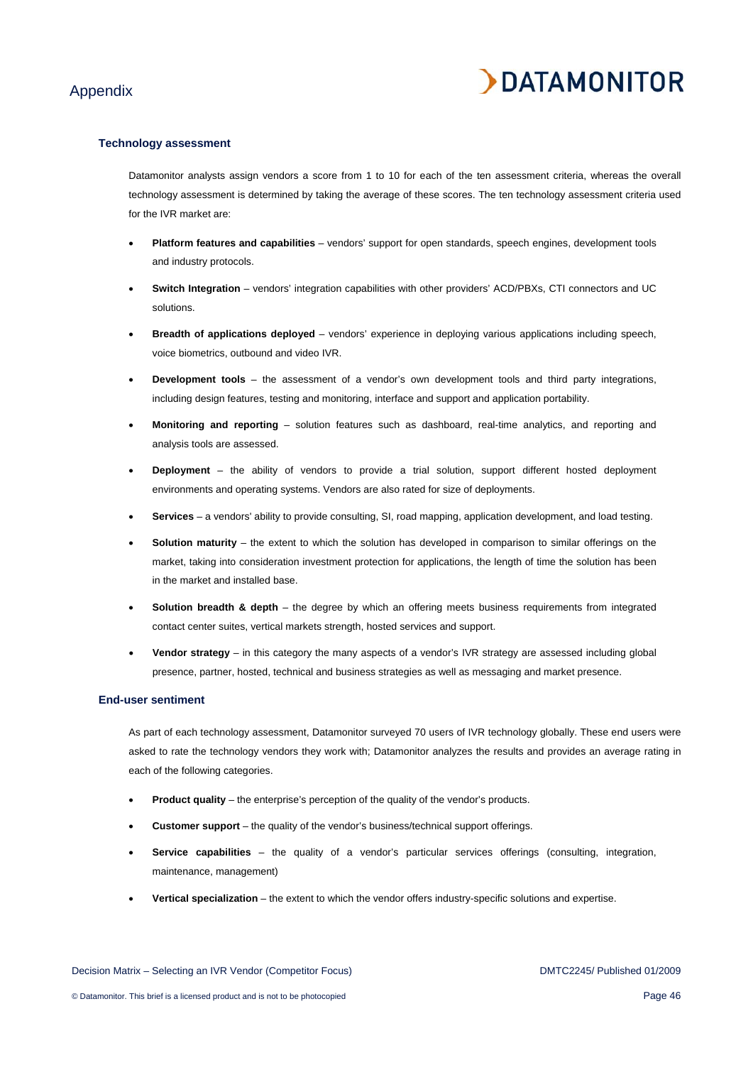# **DATAMONITOR**

#### **Technology assessment**

Datamonitor analysts assign vendors a score from 1 to 10 for each of the ten assessment criteria, whereas the overall technology assessment is determined by taking the average of these scores. The ten technology assessment criteria used for the IVR market are:

- **Platform features and capabilities** vendors' support for open standards, speech engines, development tools and industry protocols.
- **Switch Integration** vendors' integration capabilities with other providers' ACD/PBXs, CTI connectors and UC solutions.
- **Breadth of applications deployed** vendors' experience in deploying various applications including speech, voice biometrics, outbound and video IVR.
- **Development tools** the assessment of a vendor's own development tools and third party integrations, including design features, testing and monitoring, interface and support and application portability.
- **Monitoring and reporting** solution features such as dashboard, real-time analytics, and reporting and analysis tools are assessed.
- **Deployment** the ability of vendors to provide a trial solution, support different hosted deployment environments and operating systems. Vendors are also rated for size of deployments.
- **Services** a vendors' ability to provide consulting, SI, road mapping, application development, and load testing.
- **Solution maturity** the extent to which the solution has developed in comparison to similar offerings on the market, taking into consideration investment protection for applications, the length of time the solution has been in the market and installed base.
- **Solution breadth & depth** the degree by which an offering meets business requirements from integrated contact center suites, vertical markets strength, hosted services and support.
- **Vendor strategy** in this category the many aspects of a vendor's IVR strategy are assessed including global presence, partner, hosted, technical and business strategies as well as messaging and market presence.

#### **End-user sentiment**

As part of each technology assessment, Datamonitor surveyed 70 users of IVR technology globally. These end users were asked to rate the technology vendors they work with; Datamonitor analyzes the results and provides an average rating in each of the following categories.

- **Product quality** the enterprise's perception of the quality of the vendor's products.
- **Customer support** the quality of the vendor's business/technical support offerings.
- **Service capabilities** the quality of a vendor's particular services offerings (consulting, integration, maintenance, management)
- **Vertical specialization** the extent to which the vendor offers industry-specific solutions and expertise.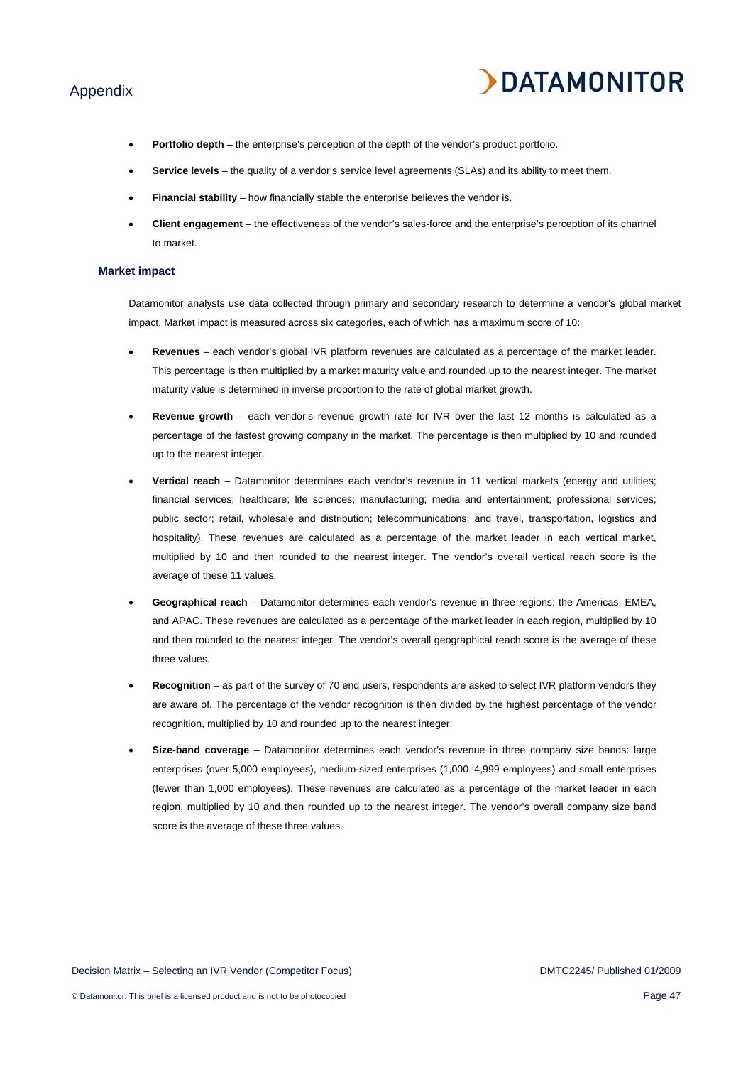

- **Portfolio depth** the enterprise's perception of the depth of the vendor's product portfolio.
- **Service levels** the quality of a vendor's service level agreements (SLAs) and its ability to meet them.
- **Financial stability** how financially stable the enterprise believes the vendor is.
- **Client engagement** the effectiveness of the vendor's sales-force and the enterprise's perception of its channel to market.

#### **Market impact**

Datamonitor analysts use data collected through primary and secondary research to determine a vendor's global market impact. Market impact is measured across six categories, each of which has a maximum score of 10:

- **Revenues** each vendor's global IVR platform revenues are calculated as a percentage of the market leader. This percentage is then multiplied by a market maturity value and rounded up to the nearest integer. The market maturity value is determined in inverse proportion to the rate of global market growth.
- **Revenue growth** each vendor's revenue growth rate for IVR over the last 12 months is calculated as a percentage of the fastest growing company in the market. The percentage is then multiplied by 10 and rounded up to the nearest integer.
- **Vertical reach** Datamonitor determines each vendor's revenue in 11 vertical markets (energy and utilities; financial services; healthcare; life sciences; manufacturing; media and entertainment; professional services; public sector; retail, wholesale and distribution; telecommunications; and travel, transportation, logistics and hospitality). These revenues are calculated as a percentage of the market leader in each vertical market, multiplied by 10 and then rounded to the nearest integer. The vendor's overall vertical reach score is the average of these 11 values.
- **Geographical reach** Datamonitor determines each vendor's revenue in three regions: the Americas, EMEA, and APAC. These revenues are calculated as a percentage of the market leader in each region, multiplied by 10 and then rounded to the nearest integer. The vendor's overall geographical reach score is the average of these three values.
- **Recognition** as part of the survey of 70 end users, respondents are asked to select IVR platform vendors they are aware of. The percentage of the vendor recognition is then divided by the highest percentage of the vendor recognition, multiplied by 10 and rounded up to the nearest integer.
- **Size-band coverage** Datamonitor determines each vendor's revenue in three company size bands: large enterprises (over 5,000 employees), medium-sized enterprises (1,000–4,999 employees) and small enterprises (fewer than 1,000 employees). These revenues are calculated as a percentage of the market leader in each region, multiplied by 10 and then rounded up to the nearest integer. The vendor's overall company size band score is the average of these three values.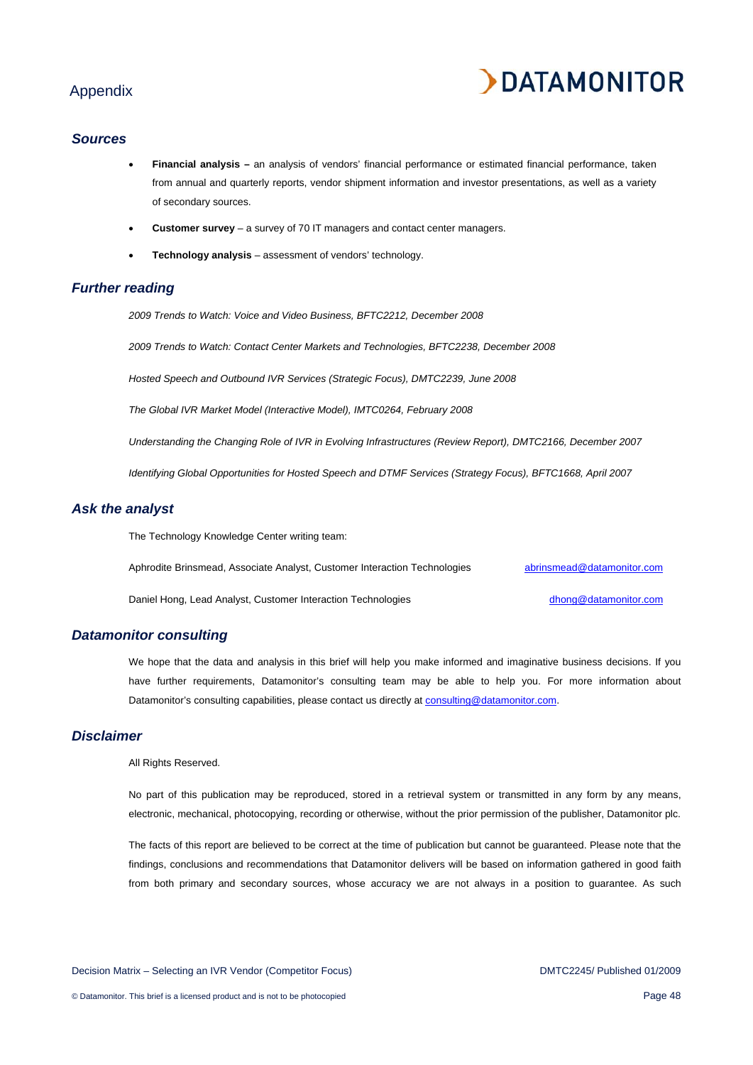## **DATAMONITOR**

#### *Sources*

- **Financial analysis** an analysis of vendors' financial performance or estimated financial performance, taken from annual and quarterly reports, vendor shipment information and investor presentations, as well as a variety of secondary sources.
- **Customer survey**  a survey of 70 IT managers and contact center managers.
- **Technology analysis**  assessment of vendors' technology.

#### *Further reading*

*2009 Trends to Watch: Voice and Video Business, BFTC2212, December 2008* 

*2009 Trends to Watch: Contact Center Markets and Technologies, BFTC2238, December 2008* 

*Hosted Speech and Outbound IVR Services (Strategic Focus), DMTC2239, June 2008* 

*The Global IVR Market Model (Interactive Model), IMTC0264, February 2008* 

*Understanding the Changing Role of IVR in Evolving Infrastructures (Review Report), DMTC2166, December 2007* 

*Identifying Global Opportunities for Hosted Speech and DTMF Services (Strategy Focus), BFTC1668, April 2007* 

### *Ask the analyst*

The Technology Knowledge Center writing team:

Aphrodite Brinsmead, Associate Analyst, Customer Interaction Technologies abrinsmead@datamonitor.com

Daniel Hong, Lead Analyst, Customer Interaction Technologies dhong and thong @datamonitor.com

#### *Datamonitor consulting*

We hope that the data and analysis in this brief will help you make informed and imaginative business decisions. If you have further requirements, Datamonitor's consulting team may be able to help you. For more information about Datamonitor's consulting capabilities, please contact us directly at consulting@datamonitor.com.

#### *Disclaimer*

All Rights Reserved.

No part of this publication may be reproduced, stored in a retrieval system or transmitted in any form by any means, electronic, mechanical, photocopying, recording or otherwise, without the prior permission of the publisher, Datamonitor plc.

The facts of this report are believed to be correct at the time of publication but cannot be guaranteed. Please note that the findings, conclusions and recommendations that Datamonitor delivers will be based on information gathered in good faith from both primary and secondary sources, whose accuracy we are not always in a position to guarantee. As such